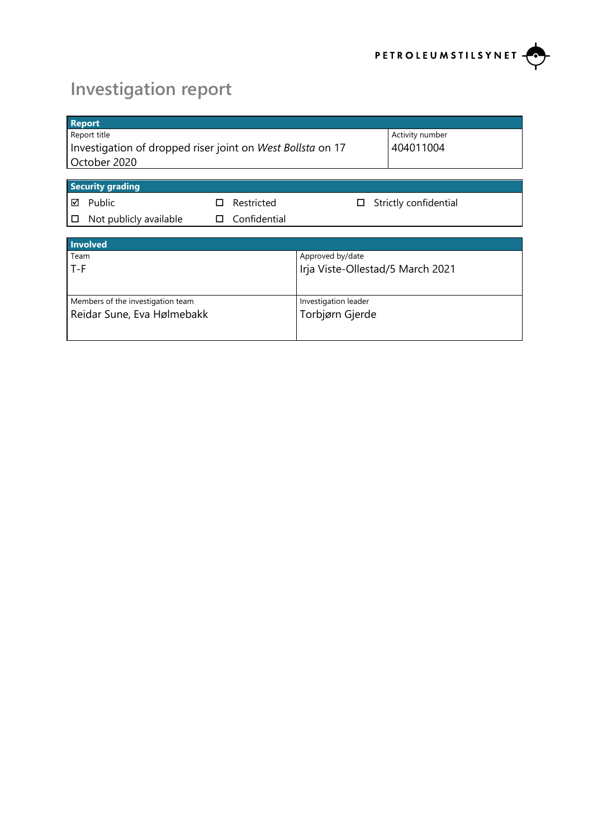

# **Investigation report**

| <b>Report</b>                                              |                 |                                  |                      |                       |
|------------------------------------------------------------|-----------------|----------------------------------|----------------------|-----------------------|
| Report title                                               | Activity number |                                  |                      |                       |
| Investigation of dropped riser joint on West Bollsta on 17 |                 |                                  |                      | 404011004             |
| October 2020                                               |                 |                                  |                      |                       |
|                                                            |                 |                                  |                      |                       |
| <b>Security grading</b>                                    |                 |                                  |                      |                       |
| Public<br>⊠                                                | H               | Restricted                       | ப                    | Strictly confidential |
| Not publicly available<br>□                                | П               | Confidential                     |                      |                       |
|                                                            |                 |                                  |                      |                       |
| Involved                                                   |                 |                                  |                      |                       |
| Team                                                       |                 |                                  | Approved by/date     |                       |
| T-F                                                        |                 | Irja Viste-Ollestad/5 March 2021 |                      |                       |
|                                                            |                 |                                  |                      |                       |
| Members of the investigation team                          |                 |                                  | Investigation leader |                       |
| Reidar Sune, Eva Hølmebakk                                 |                 |                                  | Torbjørn Gjerde      |                       |
|                                                            |                 |                                  |                      |                       |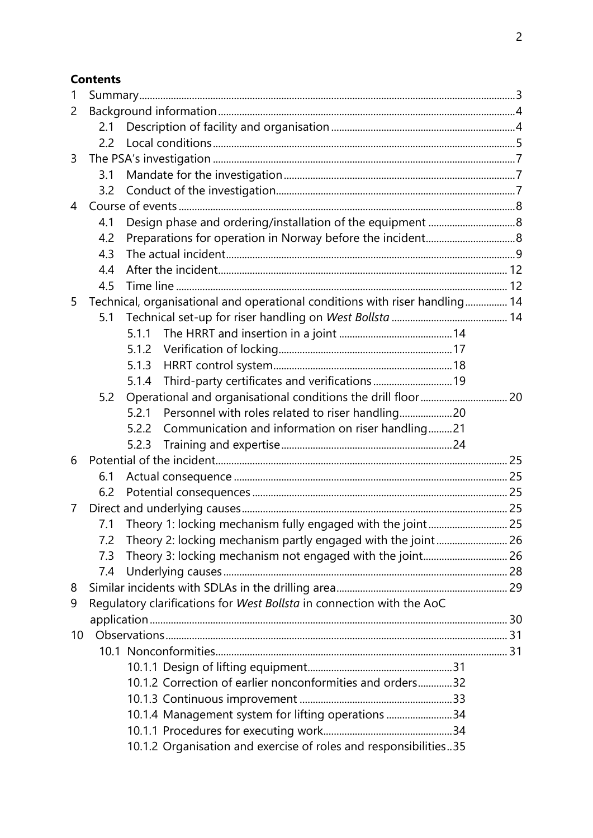## **Contents**

| 1  |     |                                                                             |  |  |  |  |
|----|-----|-----------------------------------------------------------------------------|--|--|--|--|
| 2  |     |                                                                             |  |  |  |  |
|    | 2.1 |                                                                             |  |  |  |  |
|    | 2.2 |                                                                             |  |  |  |  |
| 3  |     |                                                                             |  |  |  |  |
|    | 3.1 |                                                                             |  |  |  |  |
|    | 3.2 |                                                                             |  |  |  |  |
| 4  |     |                                                                             |  |  |  |  |
|    | 4.1 |                                                                             |  |  |  |  |
|    | 4.2 |                                                                             |  |  |  |  |
|    | 4.3 |                                                                             |  |  |  |  |
|    | 4.4 |                                                                             |  |  |  |  |
|    | 4.5 |                                                                             |  |  |  |  |
| 5  |     | Technical, organisational and operational conditions with riser handling 14 |  |  |  |  |
|    | 5.1 |                                                                             |  |  |  |  |
|    |     | 5.1.1                                                                       |  |  |  |  |
|    |     | 5.1.2                                                                       |  |  |  |  |
|    |     | 5.1.3                                                                       |  |  |  |  |
|    |     | Third-party certificates and verifications 19<br>5.1.4                      |  |  |  |  |
|    | 5.2 |                                                                             |  |  |  |  |
|    |     | Personnel with roles related to riser handling20<br>5.2.1                   |  |  |  |  |
|    |     | Communication and information on riser handling21<br>5.2.2                  |  |  |  |  |
|    |     | 5.2.3                                                                       |  |  |  |  |
| 6  |     |                                                                             |  |  |  |  |
|    | 6.1 |                                                                             |  |  |  |  |
|    | 6.2 |                                                                             |  |  |  |  |
| 7  |     |                                                                             |  |  |  |  |
|    | 7.1 | Theory 1: locking mechanism fully engaged with the joint 25                 |  |  |  |  |
|    | 7.2 | Theory 2: locking mechanism partly engaged with the joint 26                |  |  |  |  |
|    | 7.3 | Theory 3: locking mechanism not engaged with the joint 26                   |  |  |  |  |
|    | 7.4 |                                                                             |  |  |  |  |
| 8  |     |                                                                             |  |  |  |  |
| 9  |     | Regulatory clarifications for West Bollsta in connection with the AoC       |  |  |  |  |
|    |     |                                                                             |  |  |  |  |
| 10 |     |                                                                             |  |  |  |  |
|    |     |                                                                             |  |  |  |  |
|    |     |                                                                             |  |  |  |  |
|    |     | 10.1.2 Correction of earlier nonconformities and orders32                   |  |  |  |  |
|    |     |                                                                             |  |  |  |  |
|    |     | 10.1.4 Management system for lifting operations 34                          |  |  |  |  |
|    |     |                                                                             |  |  |  |  |
|    |     | 10.1.2 Organisation and exercise of roles and responsibilities35            |  |  |  |  |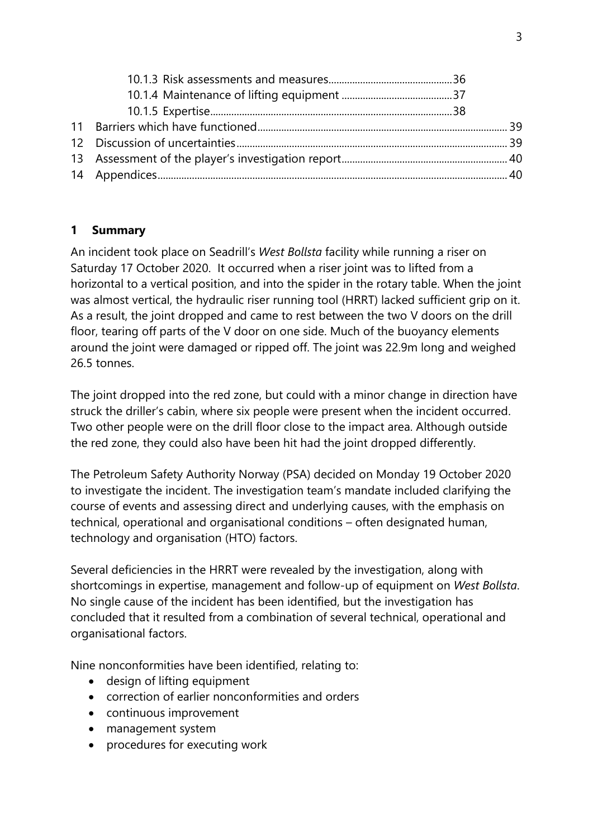## **1 Summary**

An incident took place on Seadrill's *West Bollsta* facility while running a riser on Saturday 17 October 2020. It occurred when a riser joint was to lifted from a horizontal to a vertical position, and into the spider in the rotary table. When the joint was almost vertical, the hydraulic riser running tool (HRRT) lacked sufficient grip on it. As a result, the joint dropped and came to rest between the two V doors on the drill floor, tearing off parts of the V door on one side. Much of the buoyancy elements around the joint were damaged or ripped off. The joint was 22.9m long and weighed 26.5 tonnes.

The joint dropped into the red zone, but could with a minor change in direction have struck the driller's cabin, where six people were present when the incident occurred. Two other people were on the drill floor close to the impact area. Although outside the red zone, they could also have been hit had the joint dropped differently.

The Petroleum Safety Authority Norway (PSA) decided on Monday 19 October 2020 to investigate the incident. The investigation team's mandate included clarifying the course of events and assessing direct and underlying causes, with the emphasis on technical, operational and organisational conditions – often designated human, technology and organisation (HTO) factors.

Several deficiencies in the HRRT were revealed by the investigation, along with shortcomings in expertise, management and follow-up of equipment on *West Bollsta*. No single cause of the incident has been identified, but the investigation has concluded that it resulted from a combination of several technical, operational and organisational factors.

Nine nonconformities have been identified, relating to:

- design of lifting equipment
- correction of earlier nonconformities and orders
- continuous improvement
- management system
- procedures for executing work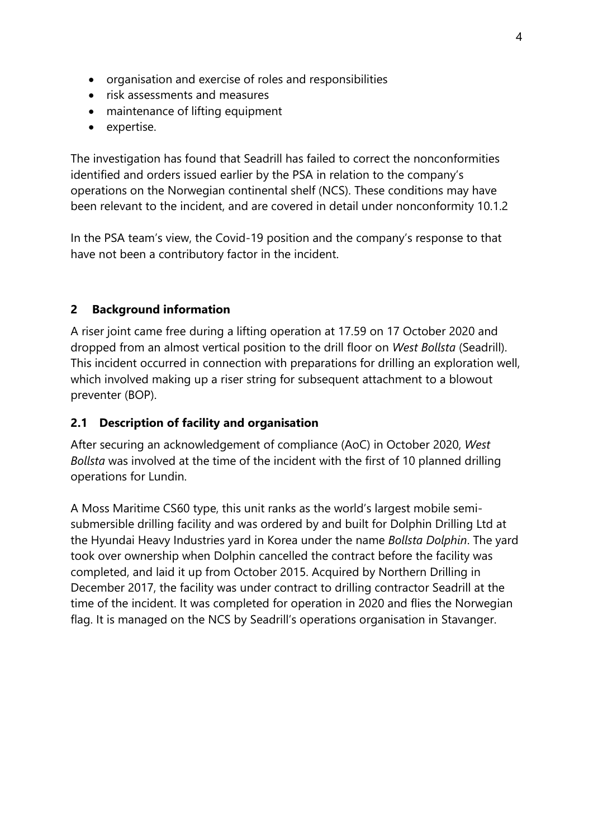- organisation and exercise of roles and responsibilities
- risk assessments and measures
- maintenance of lifting equipment
- expertise.

The investigation has found that Seadrill has failed to correct the nonconformities identified and orders issued earlier by the PSA in relation to the company's operations on the Norwegian continental shelf (NCS). These conditions may have been relevant to the incident, and are covered in detail under nonconformity 10.1.2

In the PSA team's view, the Covid-19 position and the company's response to that have not been a contributory factor in the incident.

## **2 Background information**

A riser joint came free during a lifting operation at 17.59 on 17 October 2020 and dropped from an almost vertical position to the drill floor on *West Bollsta* (Seadrill). This incident occurred in connection with preparations for drilling an exploration well, which involved making up a riser string for subsequent attachment to a blowout preventer (BOP).

## **2.1 Description of facility and organisation**

After securing an acknowledgement of compliance (AoC) in October 2020, *West Bollsta* was involved at the time of the incident with the first of 10 planned drilling operations for Lundin.

A Moss Maritime CS60 type, this unit ranks as the world's largest mobile semisubmersible drilling facility and was ordered by and built for Dolphin Drilling Ltd at the Hyundai Heavy Industries yard in Korea under the name *Bollsta Dolphin*. The yard took over ownership when Dolphin cancelled the contract before the facility was completed, and laid it up from October 2015. Acquired by Northern Drilling in December 2017, the facility was under contract to drilling contractor Seadrill at the time of the incident. It was completed for operation in 2020 and flies the Norwegian flag. It is managed on the NCS by Seadrill's operations organisation in Stavanger.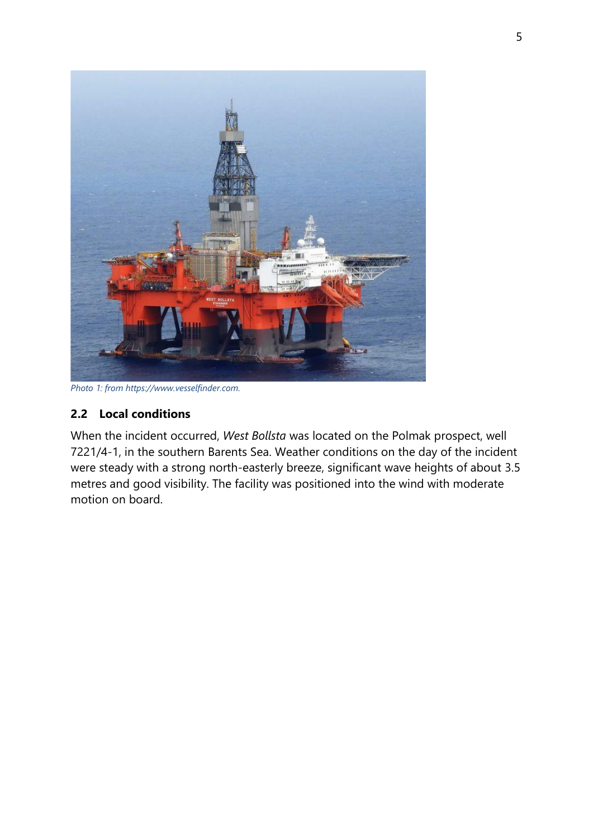

*Photo 1: from https://www.vesselfinder.com.*

## **2.2 Local conditions**

When the incident occurred, *West Bollsta* was located on the Polmak prospect, well 7221/4-1, in the southern Barents Sea. Weather conditions on the day of the incident were steady with a strong north-easterly breeze, significant wave heights of about 3.5 metres and good visibility. The facility was positioned into the wind with moderate motion on board.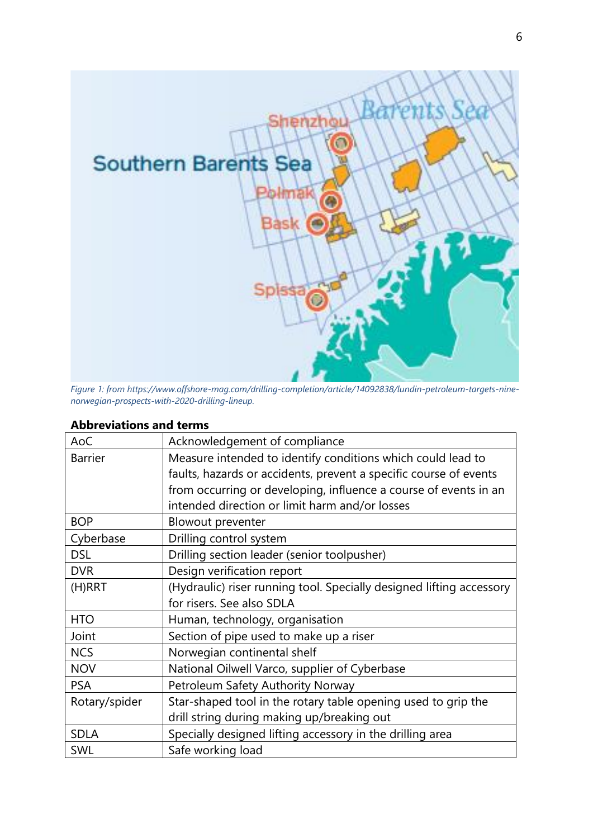

*Figure 1: from https://www.offshore-mag.com/drilling-completion/article/14092838/lundin-petroleum-targets-ninenorwegian-prospects-with-2020-drilling-lineup.*

| AoC            | Acknowledgement of compliance                                        |
|----------------|----------------------------------------------------------------------|
| <b>Barrier</b> | Measure intended to identify conditions which could lead to          |
|                | faults, hazards or accidents, prevent a specific course of events    |
|                | from occurring or developing, influence a course of events in an     |
|                | intended direction or limit harm and/or losses                       |
| <b>BOP</b>     | Blowout preventer                                                    |
| Cyberbase      | Drilling control system                                              |
| <b>DSL</b>     | Drilling section leader (senior toolpusher)                          |
| <b>DVR</b>     | Design verification report                                           |
| $(H)$ RRT      | (Hydraulic) riser running tool. Specially designed lifting accessory |
|                | for risers. See also SDLA                                            |
| <b>HTO</b>     | Human, technology, organisation                                      |
| Joint          | Section of pipe used to make up a riser                              |
| <b>NCS</b>     | Norwegian continental shelf                                          |
| <b>NOV</b>     | National Oilwell Varco, supplier of Cyberbase                        |
| <b>PSA</b>     | Petroleum Safety Authority Norway                                    |
| Rotary/spider  | Star-shaped tool in the rotary table opening used to grip the        |
|                | drill string during making up/breaking out                           |
| <b>SDLA</b>    | Specially designed lifting accessory in the drilling area            |
| SWL            | Safe working load                                                    |

## **Abbreviations and terms**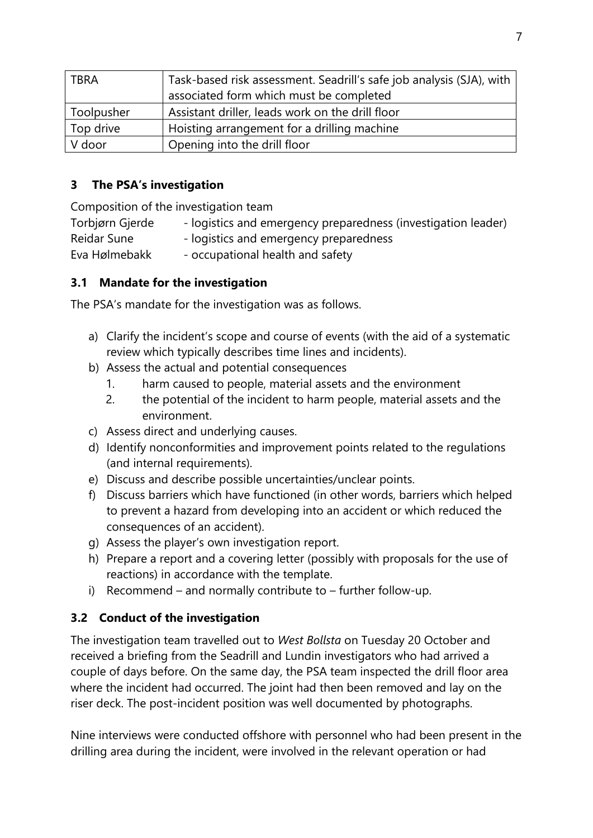| <b>TBRA</b> | Task-based risk assessment. Seadrill's safe job analysis (SJA), with |  |
|-------------|----------------------------------------------------------------------|--|
|             | associated form which must be completed                              |  |
| Toolpusher  | Assistant driller, leads work on the drill floor                     |  |
| Top drive   | Hoisting arrangement for a drilling machine                          |  |
| V door      | Opening into the drill floor                                         |  |

## **3 The PSA's investigation**

Composition of the investigation team

Torbjørn Gjerde - logistics and emergency preparedness (investigation leader)

Reidar Sune - logistics and emergency preparedness

Eva Hølmebakk - occupational health and safety

## **3.1 Mandate for the investigation**

The PSA's mandate for the investigation was as follows.

- a) Clarify the incident's scope and course of events (with the aid of a systematic review which typically describes time lines and incidents).
- b) Assess the actual and potential consequences
	- 1. harm caused to people, material assets and the environment
	- 2. the potential of the incident to harm people, material assets and the environment.
- c) Assess direct and underlying causes.
- d) Identify nonconformities and improvement points related to the regulations (and internal requirements).
- e) Discuss and describe possible uncertainties/unclear points.
- f) Discuss barriers which have functioned (in other words, barriers which helped to prevent a hazard from developing into an accident or which reduced the consequences of an accident).
- g) Assess the player's own investigation report.
- h) Prepare a report and a covering letter (possibly with proposals for the use of reactions) in accordance with the template.
- i) Recommend and normally contribute to further follow-up.

## **3.2 Conduct of the investigation**

The investigation team travelled out to *West Bollsta* on Tuesday 20 October and received a briefing from the Seadrill and Lundin investigators who had arrived a couple of days before. On the same day, the PSA team inspected the drill floor area where the incident had occurred. The joint had then been removed and lay on the riser deck. The post-incident position was well documented by photographs.

Nine interviews were conducted offshore with personnel who had been present in the drilling area during the incident, were involved in the relevant operation or had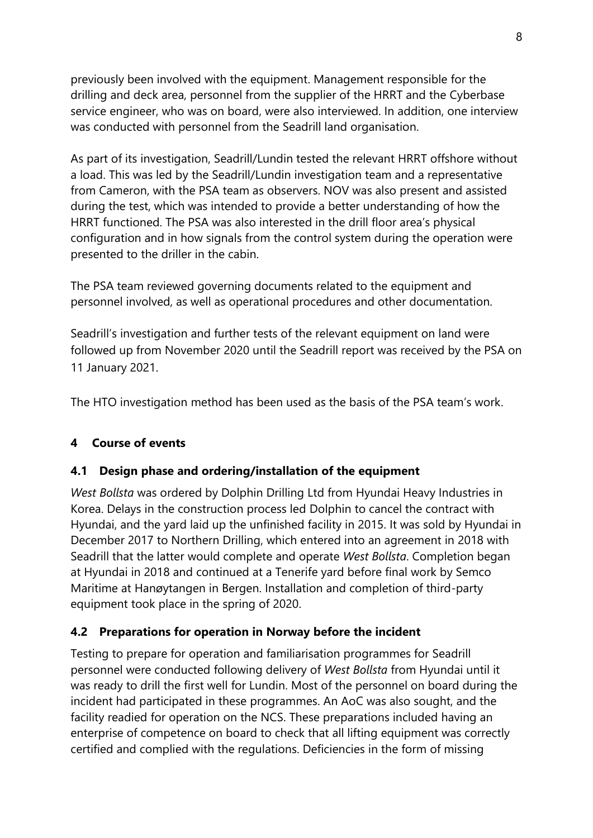previously been involved with the equipment. Management responsible for the drilling and deck area, personnel from the supplier of the HRRT and the Cyberbase service engineer, who was on board, were also interviewed. In addition, one interview was conducted with personnel from the Seadrill land organisation.

As part of its investigation, Seadrill/Lundin tested the relevant HRRT offshore without a load. This was led by the Seadrill/Lundin investigation team and a representative from Cameron, with the PSA team as observers. NOV was also present and assisted during the test, which was intended to provide a better understanding of how the HRRT functioned. The PSA was also interested in the drill floor area's physical configuration and in how signals from the control system during the operation were presented to the driller in the cabin.

The PSA team reviewed governing documents related to the equipment and personnel involved, as well as operational procedures and other documentation.

Seadrill's investigation and further tests of the relevant equipment on land were followed up from November 2020 until the Seadrill report was received by the PSA on 11 January 2021.

The HTO investigation method has been used as the basis of the PSA team's work.

## **4 Course of events**

## **4.1 Design phase and ordering/installation of the equipment**

*West Bollsta* was ordered by Dolphin Drilling Ltd from Hyundai Heavy Industries in Korea. Delays in the construction process led Dolphin to cancel the contract with Hyundai, and the yard laid up the unfinished facility in 2015. It was sold by Hyundai in December 2017 to Northern Drilling, which entered into an agreement in 2018 with Seadrill that the latter would complete and operate *West Bollsta*. Completion began at Hyundai in 2018 and continued at a Tenerife yard before final work by Semco Maritime at Hanøytangen in Bergen. Installation and completion of third-party equipment took place in the spring of 2020.

## **4.2 Preparations for operation in Norway before the incident**

Testing to prepare for operation and familiarisation programmes for Seadrill personnel were conducted following delivery of *West Bollsta* from Hyundai until it was ready to drill the first well for Lundin. Most of the personnel on board during the incident had participated in these programmes. An AoC was also sought, and the facility readied for operation on the NCS. These preparations included having an enterprise of competence on board to check that all lifting equipment was correctly certified and complied with the regulations. Deficiencies in the form of missing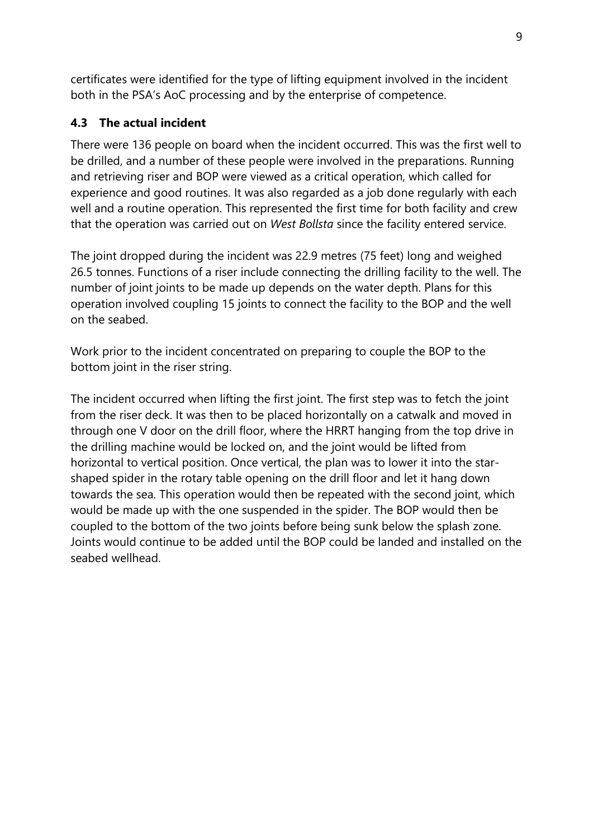certificates were identified for the type of lifting equipment involved in the incident both in the PSA's AoC processing and by the enterprise of competence.

## **4.3 The actual incident**

There were 136 people on board when the incident occurred. This was the first well to be drilled, and a number of these people were involved in the preparations. Running and retrieving riser and BOP were viewed as a critical operation, which called for experience and good routines. It was also regarded as a job done regularly with each well and a routine operation. This represented the first time for both facility and crew that the operation was carried out on *West Bollsta* since the facility entered service.

The joint dropped during the incident was 22.9 metres (75 feet) long and weighed 26.5 tonnes. Functions of a riser include connecting the drilling facility to the well. The number of joint joints to be made up depends on the water depth. Plans for this operation involved coupling 15 joints to connect the facility to the BOP and the well on the seabed.

Work prior to the incident concentrated on preparing to couple the BOP to the bottom joint in the riser string.

The incident occurred when lifting the first joint. The first step was to fetch the joint from the riser deck. It was then to be placed horizontally on a catwalk and moved in through one V door on the drill floor, where the HRRT hanging from the top drive in the drilling machine would be locked on, and the joint would be lifted from horizontal to vertical position. Once vertical, the plan was to lower it into the starshaped spider in the rotary table opening on the drill floor and let it hang down towards the sea. This operation would then be repeated with the second joint, which would be made up with the one suspended in the spider. The BOP would then be coupled to the bottom of the two joints before being sunk below the splash zone. Joints would continue to be added until the BOP could be landed and installed on the seabed wellhead.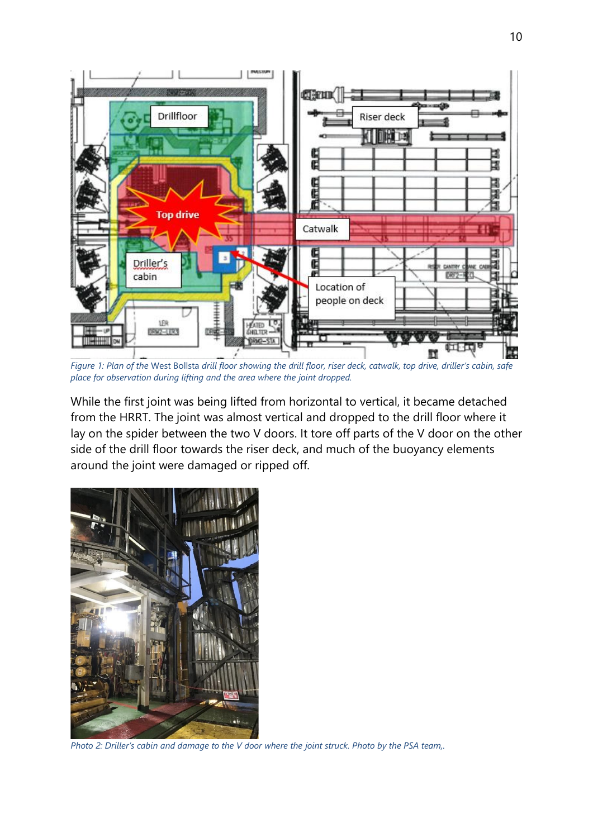

*Figure 1: Plan of the* West Bollsta *drill floor showing the drill floor, riser deck, catwalk, top drive, driller's cabin, safe place for observation during lifting and the area where the joint dropped.*

While the first joint was being lifted from horizontal to vertical, it became detached from the HRRT. The joint was almost vertical and dropped to the drill floor where it lay on the spider between the two V doors. It tore off parts of the V door on the other side of the drill floor towards the riser deck, and much of the buoyancy elements around the joint were damaged or ripped off.



*Photo 2: Driller's cabin and damage to the V door where the joint struck. Photo by the PSA team,.*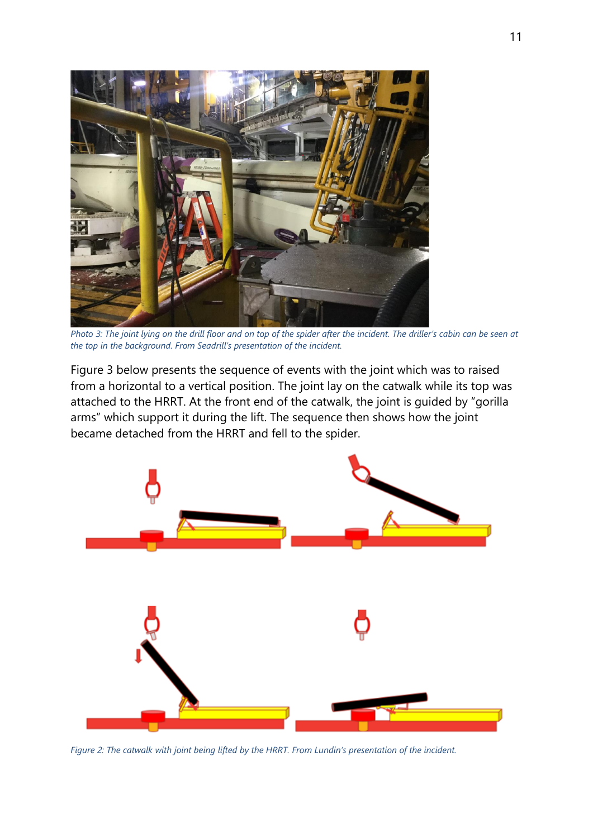

*Photo 3: The joint lying on the drill floor and on top of the spider after the incident. The driller's cabin can be seen at the top in the background. From Seadrill's presentation of the incident.*

Figure 3 below presents the sequence of events with the joint which was to raised from a horizontal to a vertical position. The joint lay on the catwalk while its top was attached to the HRRT. At the front end of the catwalk, the joint is guided by "gorilla arms" which support it during the lift. The sequence then shows how the joint became detached from the HRRT and fell to the spider.



*Figure 2: The catwalk with joint being lifted by the HRRT. From Lundin's presentation of the incident.*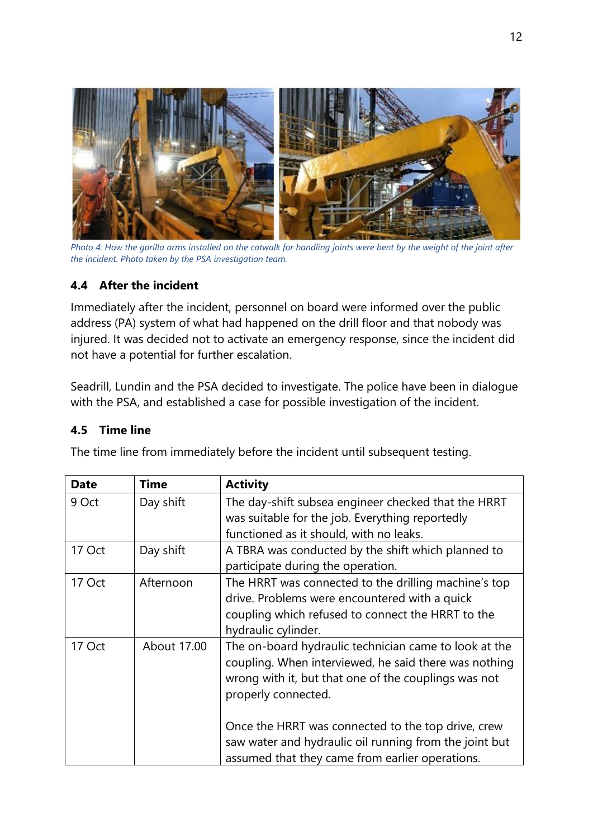

*Photo 4: How the gorilla arms installed on the catwalk for handling joints were bent by the weight of the joint after the incident. Photo taken by the PSA investigation team.*

#### **4.4 After the incident**

Immediately after the incident, personnel on board were informed over the public address (PA) system of what had happened on the drill floor and that nobody was injured. It was decided not to activate an emergency response, since the incident did not have a potential for further escalation.

Seadrill, Lundin and the PSA decided to investigate. The police have been in dialogue with the PSA, and established a case for possible investigation of the incident.

#### **4.5 Time line**

| <b>Date</b> | <b>Time</b> | <b>Activity</b>                                        |
|-------------|-------------|--------------------------------------------------------|
| 9 Oct       | Day shift   | The day-shift subsea engineer checked that the HRRT    |
|             |             | was suitable for the job. Everything reportedly        |
|             |             | functioned as it should, with no leaks.                |
| 17 Oct      | Day shift   | A TBRA was conducted by the shift which planned to     |
|             |             | participate during the operation.                      |
| 17 Oct      | Afternoon   | The HRRT was connected to the drilling machine's top   |
|             |             | drive. Problems were encountered with a quick          |
|             |             | coupling which refused to connect the HRRT to the      |
|             |             | hydraulic cylinder.                                    |
| 17 Oct      | About 17.00 | The on-board hydraulic technician came to look at the  |
|             |             | coupling. When interviewed, he said there was nothing  |
|             |             | wrong with it, but that one of the couplings was not   |
|             |             | properly connected.                                    |
|             |             |                                                        |
|             |             | Once the HRRT was connected to the top drive, crew     |
|             |             | saw water and hydraulic oil running from the joint but |
|             |             | assumed that they came from earlier operations.        |

The time line from immediately before the incident until subsequent testing.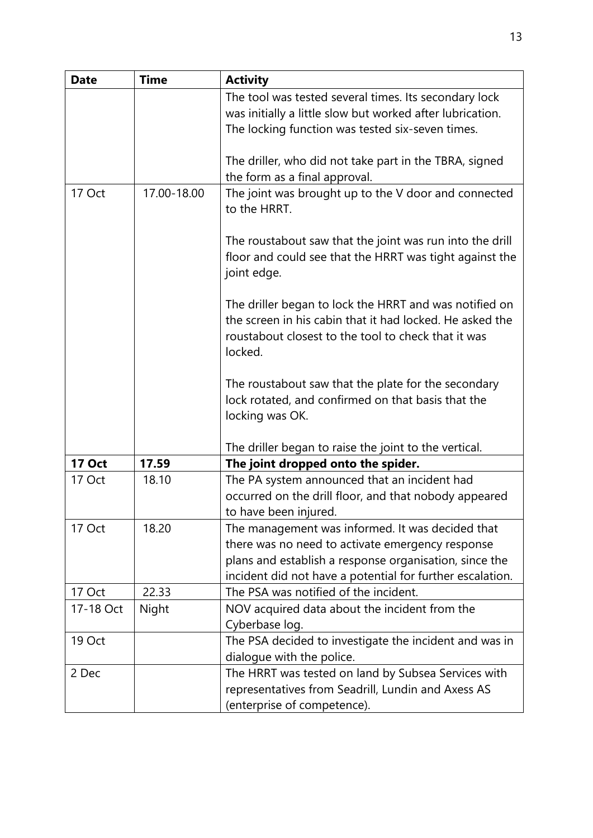| <b>Date</b>   | <b>Time</b> | <b>Activity</b>                                                                                                                                                                      |
|---------------|-------------|--------------------------------------------------------------------------------------------------------------------------------------------------------------------------------------|
|               |             | The tool was tested several times. Its secondary lock                                                                                                                                |
|               |             | was initially a little slow but worked after lubrication.                                                                                                                            |
|               |             | The locking function was tested six-seven times.                                                                                                                                     |
|               |             |                                                                                                                                                                                      |
|               |             | The driller, who did not take part in the TBRA, signed                                                                                                                               |
|               |             | the form as a final approval.                                                                                                                                                        |
| 17 Oct        | 17.00-18.00 | The joint was brought up to the V door and connected<br>to the HRRT.                                                                                                                 |
|               |             | The roustabout saw that the joint was run into the drill<br>floor and could see that the HRRT was tight against the<br>joint edge.                                                   |
|               |             | The driller began to lock the HRRT and was notified on<br>the screen in his cabin that it had locked. He asked the<br>roustabout closest to the tool to check that it was<br>locked. |
|               |             | The roustabout saw that the plate for the secondary<br>lock rotated, and confirmed on that basis that the<br>locking was OK.                                                         |
|               |             | The driller began to raise the joint to the vertical.                                                                                                                                |
| <b>17 Oct</b> | 17.59       | The joint dropped onto the spider.                                                                                                                                                   |
| 17 Oct        | 18.10       | The PA system announced that an incident had                                                                                                                                         |
|               |             | occurred on the drill floor, and that nobody appeared                                                                                                                                |
|               |             | to have been injured.                                                                                                                                                                |
| 17 Oct        | 18.20       | The management was informed. It was decided that                                                                                                                                     |
|               |             | there was no need to activate emergency response                                                                                                                                     |
|               |             | plans and establish a response organisation, since the                                                                                                                               |
|               |             | incident did not have a potential for further escalation.                                                                                                                            |
| 17 Oct        | 22.33       | The PSA was notified of the incident.                                                                                                                                                |
| 17-18 Oct     | Night       | NOV acquired data about the incident from the<br>Cyberbase log.                                                                                                                      |
| 19 Oct        |             | The PSA decided to investigate the incident and was in                                                                                                                               |
|               |             | dialogue with the police.                                                                                                                                                            |
| 2 Dec         |             | The HRRT was tested on land by Subsea Services with                                                                                                                                  |
|               |             | representatives from Seadrill, Lundin and Axess AS                                                                                                                                   |
|               |             | (enterprise of competence).                                                                                                                                                          |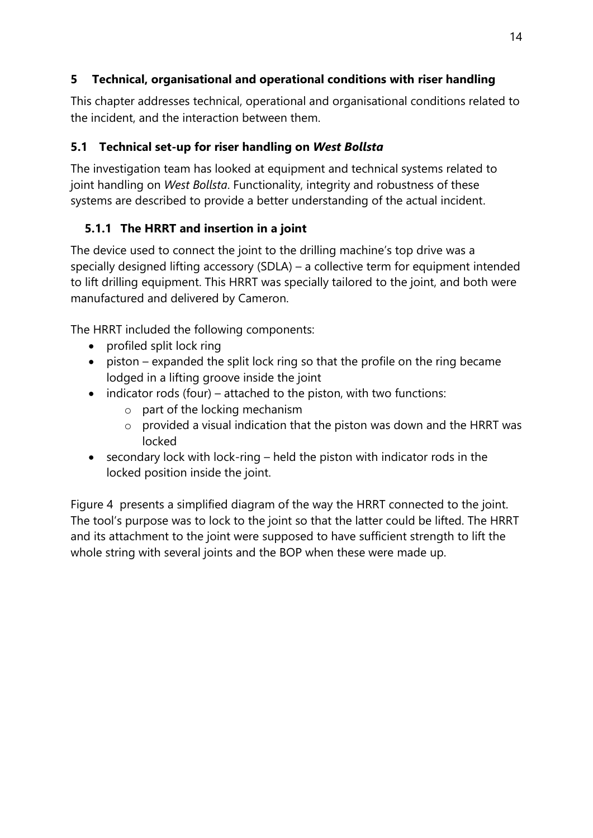# **5 Technical, organisational and operational conditions with riser handling**

This chapter addresses technical, operational and organisational conditions related to the incident, and the interaction between them.

# **5.1 Technical set-up for riser handling on** *West Bollsta*

The investigation team has looked at equipment and technical systems related to joint handling on *West Bollsta*. Functionality, integrity and robustness of these systems are described to provide a better understanding of the actual incident.

# **5.1.1 The HRRT and insertion in a joint**

The device used to connect the joint to the drilling machine's top drive was a specially designed lifting accessory (SDLA) – a collective term for equipment intended to lift drilling equipment. This HRRT was specially tailored to the joint, and both were manufactured and delivered by Cameron.

The HRRT included the following components:

- profiled split lock ring
- piston expanded the split lock ring so that the profile on the ring became lodged in a lifting groove inside the joint
- indicator rods (four) attached to the piston, with two functions:
	- o part of the locking mechanism
	- $\circ$  provided a visual indication that the piston was down and the HRRT was locked
- secondary lock with lock-ring held the piston with indicator rods in the locked position inside the joint.

Figure 4 presents a simplified diagram of the way the HRRT connected to the joint. The tool's purpose was to lock to the joint so that the latter could be lifted. The HRRT and its attachment to the joint were supposed to have sufficient strength to lift the whole string with several joints and the BOP when these were made up.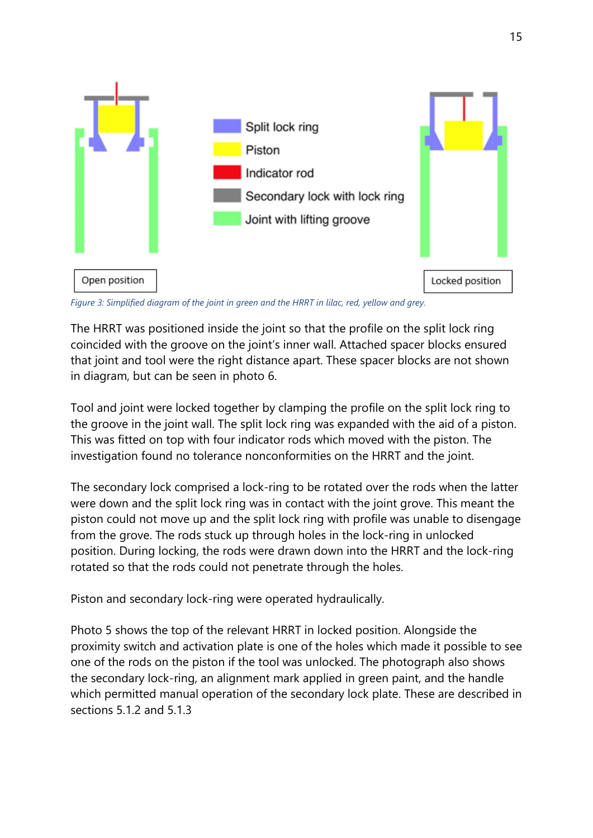

*Figure 3: Simplified diagram of the joint in green and the HRRT in lilac, red, yellow and grey.*

The HRRT was positioned inside the joint so that the profile on the split lock ring coincided with the groove on the joint's inner wall. Attached spacer blocks ensured that joint and tool were the right distance apart. These spacer blocks are not shown in diagram, but can be seen in photo 6.

Tool and joint were locked together by clamping the profile on the split lock ring to the groove in the joint wall. The split lock ring was expanded with the aid of a piston. This was fitted on top with four indicator rods which moved with the piston. The investigation found no tolerance nonconformities on the HRRT and the joint.

The secondary lock comprised a lock-ring to be rotated over the rods when the latter were down and the split lock ring was in contact with the joint grove. This meant the piston could not move up and the split lock ring with profile was unable to disengage from the grove. The rods stuck up through holes in the lock-ring in unlocked position. During locking, the rods were drawn down into the HRRT and the lock-ring rotated so that the rods could not penetrate through the holes.

Piston and secondary lock-ring were operated hydraulically.

Photo 5 shows the top of the relevant HRRT in locked position. Alongside the proximity switch and activation plate is one of the holes which made it possible to see one of the rods on the piston if the tool was unlocked. The photograph also shows the secondary lock-ring, an alignment mark applied in green paint, and the handle which permitted manual operation of the secondary lock plate. These are described in sections 5.1.2 and 5.1.3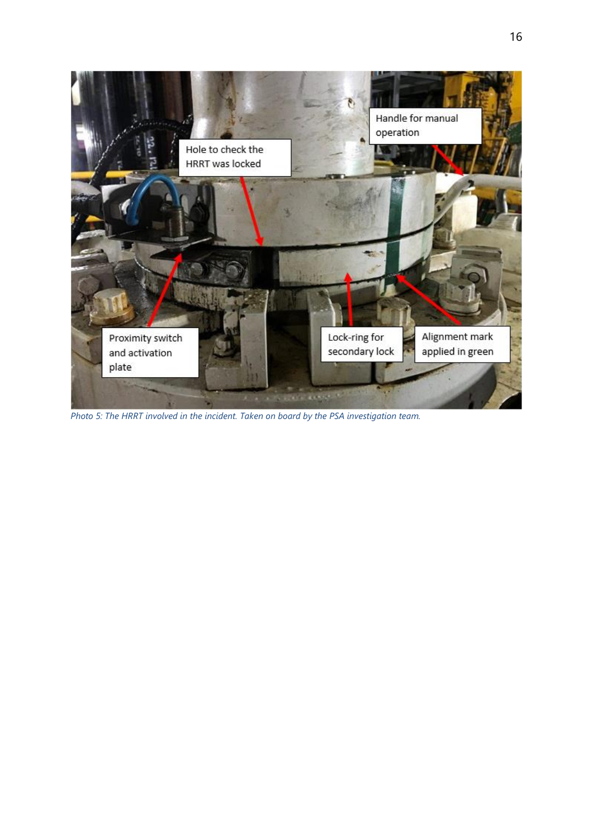

*Photo 5: The HRRT involved in the incident. Taken on board by the PSA investigation team.*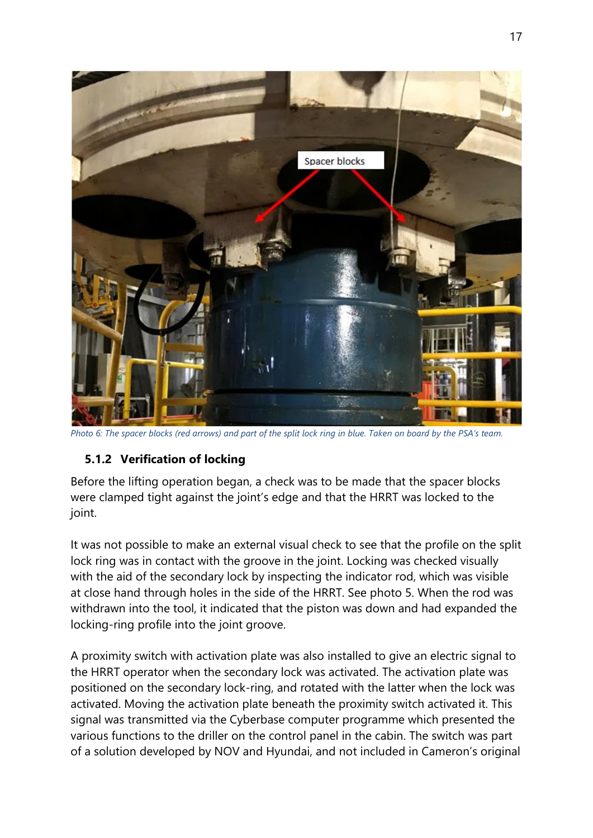

*Photo 6: The spacer blocks (red arrows) and part of the split lock ring in blue. Taken on board by the PSA's team.*

## **5.1.2 Verification of locking**

Before the lifting operation began, a check was to be made that the spacer blocks were clamped tight against the joint's edge and that the HRRT was locked to the joint.

It was not possible to make an external visual check to see that the profile on the split lock ring was in contact with the groove in the joint. Locking was checked visually with the aid of the secondary lock by inspecting the indicator rod, which was visible at close hand through holes in the side of the HRRT. See photo 5. When the rod was withdrawn into the tool, it indicated that the piston was down and had expanded the locking-ring profile into the joint groove.

A proximity switch with activation plate was also installed to give an electric signal to the HRRT operator when the secondary lock was activated. The activation plate was positioned on the secondary lock-ring, and rotated with the latter when the lock was activated. Moving the activation plate beneath the proximity switch activated it. This signal was transmitted via the Cyberbase computer programme which presented the various functions to the driller on the control panel in the cabin. The switch was part of a solution developed by NOV and Hyundai, and not included in Cameron's original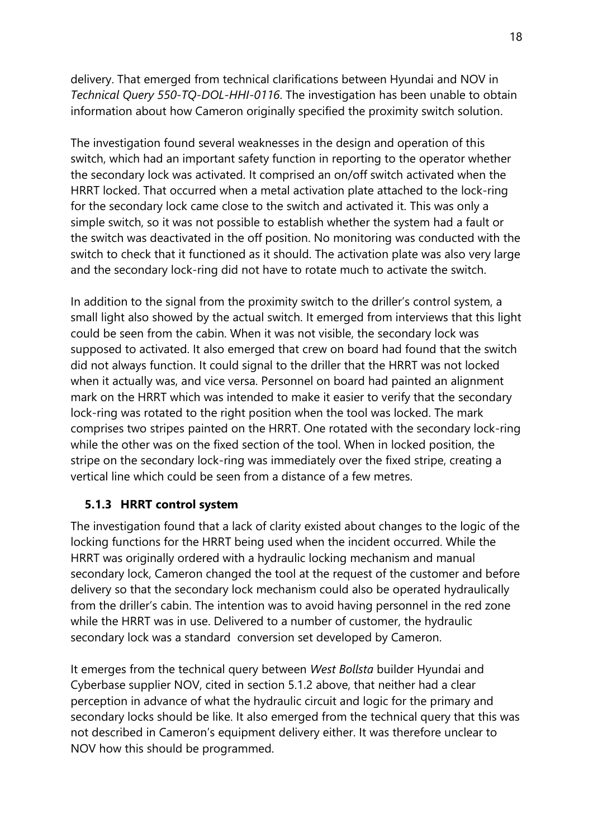delivery. That emerged from technical clarifications between Hyundai and NOV in *Technical Query 550-TQ-DOL-HHI-0116*. The investigation has been unable to obtain information about how Cameron originally specified the proximity switch solution.

The investigation found several weaknesses in the design and operation of this switch, which had an important safety function in reporting to the operator whether the secondary lock was activated. It comprised an on/off switch activated when the HRRT locked. That occurred when a metal activation plate attached to the lock-ring for the secondary lock came close to the switch and activated it. This was only a simple switch, so it was not possible to establish whether the system had a fault or the switch was deactivated in the off position. No monitoring was conducted with the switch to check that it functioned as it should. The activation plate was also very large and the secondary lock-ring did not have to rotate much to activate the switch.

In addition to the signal from the proximity switch to the driller's control system, a small light also showed by the actual switch. It emerged from interviews that this light could be seen from the cabin. When it was not visible, the secondary lock was supposed to activated. It also emerged that crew on board had found that the switch did not always function. It could signal to the driller that the HRRT was not locked when it actually was, and vice versa. Personnel on board had painted an alignment mark on the HRRT which was intended to make it easier to verify that the secondary lock-ring was rotated to the right position when the tool was locked. The mark comprises two stripes painted on the HRRT. One rotated with the secondary lock-ring while the other was on the fixed section of the tool. When in locked position, the stripe on the secondary lock-ring was immediately over the fixed stripe, creating a vertical line which could be seen from a distance of a few metres.

## **5.1.3 HRRT control system**

The investigation found that a lack of clarity existed about changes to the logic of the locking functions for the HRRT being used when the incident occurred. While the HRRT was originally ordered with a hydraulic locking mechanism and manual secondary lock, Cameron changed the tool at the request of the customer and before delivery so that the secondary lock mechanism could also be operated hydraulically from the driller's cabin. The intention was to avoid having personnel in the red zone while the HRRT was in use. Delivered to a number of customer, the hydraulic secondary lock was a standard conversion set developed by Cameron.

It emerges from the technical query between *West Bollsta* builder Hyundai and Cyberbase supplier NOV, cited in section 5.1.2 above, that neither had a clear perception in advance of what the hydraulic circuit and logic for the primary and secondary locks should be like. It also emerged from the technical query that this was not described in Cameron's equipment delivery either. It was therefore unclear to NOV how this should be programmed.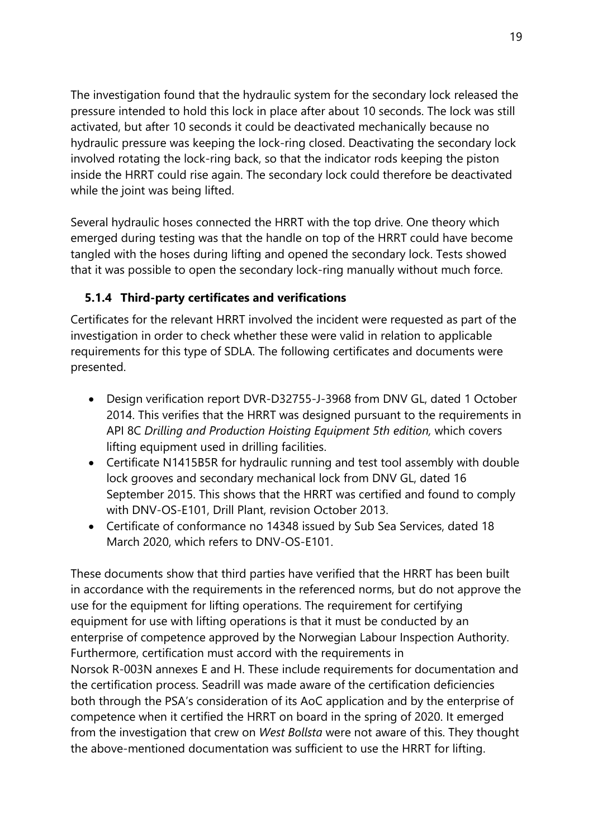The investigation found that the hydraulic system for the secondary lock released the pressure intended to hold this lock in place after about 10 seconds. The lock was still activated, but after 10 seconds it could be deactivated mechanically because no hydraulic pressure was keeping the lock-ring closed. Deactivating the secondary lock involved rotating the lock-ring back, so that the indicator rods keeping the piston inside the HRRT could rise again. The secondary lock could therefore be deactivated while the joint was being lifted.

Several hydraulic hoses connected the HRRT with the top drive. One theory which emerged during testing was that the handle on top of the HRRT could have become tangled with the hoses during lifting and opened the secondary lock. Tests showed that it was possible to open the secondary lock-ring manually without much force.

## **5.1.4 Third-party certificates and verifications**

Certificates for the relevant HRRT involved the incident were requested as part of the investigation in order to check whether these were valid in relation to applicable requirements for this type of SDLA. The following certificates and documents were presented.

- Design verification report DVR-D32755-J-3968 from DNV GL, dated 1 October 2014. This verifies that the HRRT was designed pursuant to the requirements in API 8C *Drilling and Production Hoisting Equipment 5th edition,* which covers lifting equipment used in drilling facilities.
- Certificate N1415B5R for hydraulic running and test tool assembly with double lock grooves and secondary mechanical lock from DNV GL, dated 16 September 2015. This shows that the HRRT was certified and found to comply with DNV-OS-E101, Drill Plant, revision October 2013.
- Certificate of conformance no 14348 issued by Sub Sea Services, dated 18 March 2020, which refers to DNV-OS-E101.

These documents show that third parties have verified that the HRRT has been built in accordance with the requirements in the referenced norms, but do not approve the use for the equipment for lifting operations. The requirement for certifying equipment for use with lifting operations is that it must be conducted by an enterprise of competence approved by the Norwegian Labour Inspection Authority. Furthermore, certification must accord with the requirements in Norsok R-003N annexes E and H. These include requirements for documentation and the certification process. Seadrill was made aware of the certification deficiencies both through the PSA's consideration of its AoC application and by the enterprise of competence when it certified the HRRT on board in the spring of 2020. It emerged from the investigation that crew on *West Bollsta* were not aware of this. They thought the above-mentioned documentation was sufficient to use the HRRT for lifting.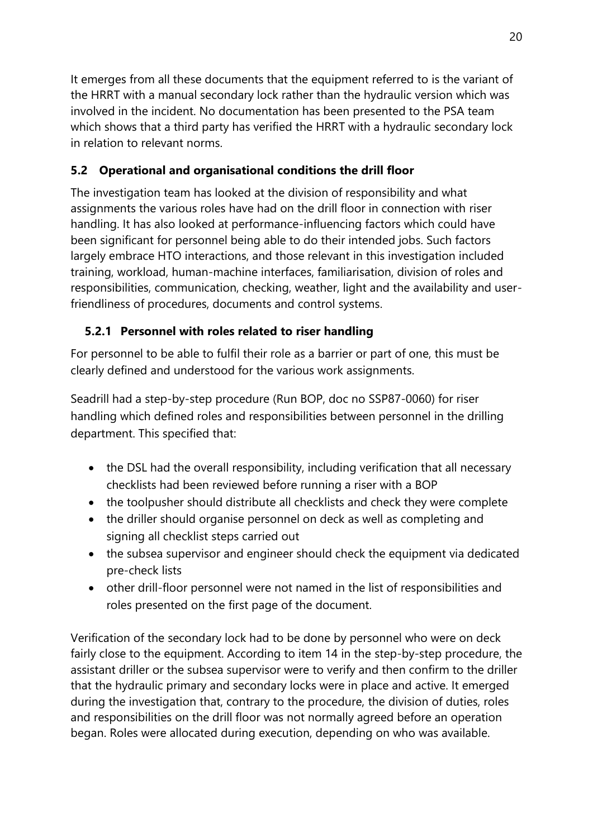It emerges from all these documents that the equipment referred to is the variant of the HRRT with a manual secondary lock rather than the hydraulic version which was involved in the incident. No documentation has been presented to the PSA team which shows that a third party has verified the HRRT with a hydraulic secondary lock in relation to relevant norms.

# **5.2 Operational and organisational conditions the drill floor**

The investigation team has looked at the division of responsibility and what assignments the various roles have had on the drill floor in connection with riser handling. It has also looked at performance-influencing factors which could have been significant for personnel being able to do their intended jobs. Such factors largely embrace HTO interactions, and those relevant in this investigation included training, workload, human-machine interfaces, familiarisation, division of roles and responsibilities, communication, checking, weather, light and the availability and userfriendliness of procedures, documents and control systems.

# **5.2.1 Personnel with roles related to riser handling**

For personnel to be able to fulfil their role as a barrier or part of one, this must be clearly defined and understood for the various work assignments.

Seadrill had a step-by-step procedure (Run BOP, doc no SSP87-0060) for riser handling which defined roles and responsibilities between personnel in the drilling department. This specified that:

- the DSL had the overall responsibility, including verification that all necessary checklists had been reviewed before running a riser with a BOP
- the toolpusher should distribute all checklists and check they were complete
- the driller should organise personnel on deck as well as completing and signing all checklist steps carried out
- the subsea supervisor and engineer should check the equipment via dedicated pre-check lists
- other drill-floor personnel were not named in the list of responsibilities and roles presented on the first page of the document.

Verification of the secondary lock had to be done by personnel who were on deck fairly close to the equipment. According to item 14 in the step-by-step procedure, the assistant driller or the subsea supervisor were to verify and then confirm to the driller that the hydraulic primary and secondary locks were in place and active. It emerged during the investigation that, contrary to the procedure, the division of duties, roles and responsibilities on the drill floor was not normally agreed before an operation began. Roles were allocated during execution, depending on who was available.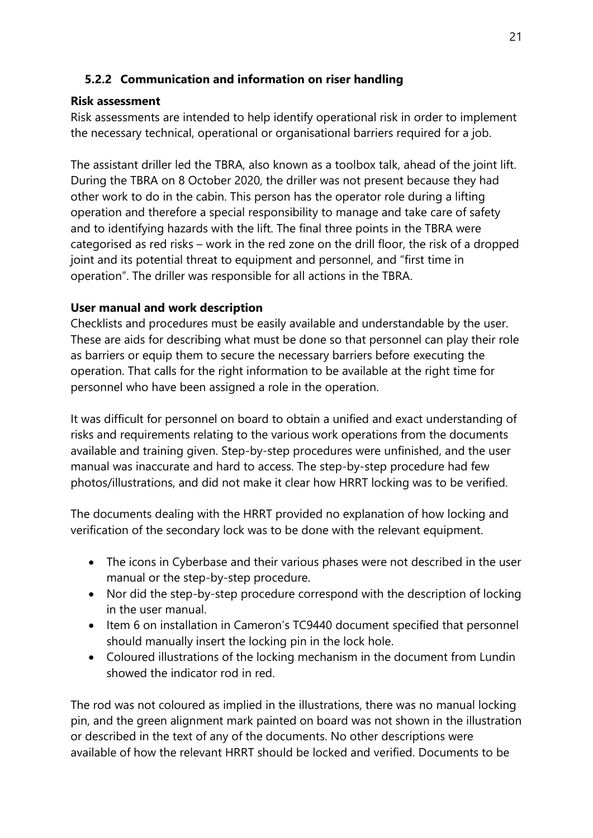## **5.2.2 Communication and information on riser handling**

## **Risk assessment**

Risk assessments are intended to help identify operational risk in order to implement the necessary technical, operational or organisational barriers required for a job.

The assistant driller led the TBRA, also known as a toolbox talk, ahead of the joint lift. During the TBRA on 8 October 2020, the driller was not present because they had other work to do in the cabin. This person has the operator role during a lifting operation and therefore a special responsibility to manage and take care of safety and to identifying hazards with the lift. The final three points in the TBRA were categorised as red risks – work in the red zone on the drill floor, the risk of a dropped joint and its potential threat to equipment and personnel, and "first time in operation". The driller was responsible for all actions in the TBRA.

## **User manual and work description**

Checklists and procedures must be easily available and understandable by the user. These are aids for describing what must be done so that personnel can play their role as barriers or equip them to secure the necessary barriers before executing the operation. That calls for the right information to be available at the right time for personnel who have been assigned a role in the operation.

It was difficult for personnel on board to obtain a unified and exact understanding of risks and requirements relating to the various work operations from the documents available and training given. Step-by-step procedures were unfinished, and the user manual was inaccurate and hard to access. The step-by-step procedure had few photos/illustrations, and did not make it clear how HRRT locking was to be verified.

The documents dealing with the HRRT provided no explanation of how locking and verification of the secondary lock was to be done with the relevant equipment.

- The icons in Cyberbase and their various phases were not described in the user manual or the step-by-step procedure.
- Nor did the step-by-step procedure correspond with the description of locking in the user manual.
- Item 6 on installation in Cameron's TC9440 document specified that personnel should manually insert the locking pin in the lock hole.
- Coloured illustrations of the locking mechanism in the document from Lundin showed the indicator rod in red.

The rod was not coloured as implied in the illustrations, there was no manual locking pin, and the green alignment mark painted on board was not shown in the illustration or described in the text of any of the documents. No other descriptions were available of how the relevant HRRT should be locked and verified. Documents to be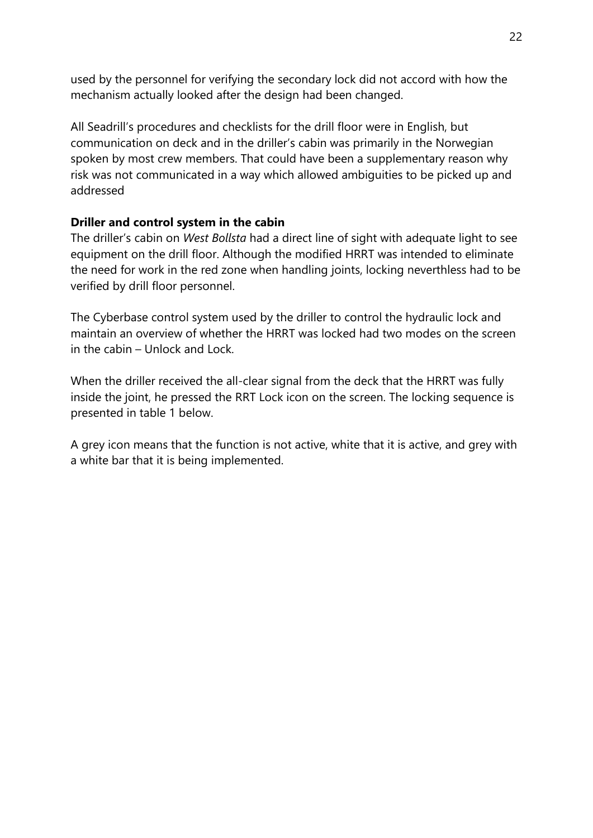used by the personnel for verifying the secondary lock did not accord with how the mechanism actually looked after the design had been changed.

All Seadrill's procedures and checklists for the drill floor were in English, but communication on deck and in the driller's cabin was primarily in the Norwegian spoken by most crew members. That could have been a supplementary reason why risk was not communicated in a way which allowed ambiguities to be picked up and addressed

#### **Driller and control system in the cabin**

The driller's cabin on *West Bollsta* had a direct line of sight with adequate light to see equipment on the drill floor. Although the modified HRRT was intended to eliminate the need for work in the red zone when handling joints, locking neverthless had to be verified by drill floor personnel.

The Cyberbase control system used by the driller to control the hydraulic lock and maintain an overview of whether the HRRT was locked had two modes on the screen in the cabin – Unlock and Lock.

When the driller received the all-clear signal from the deck that the HRRT was fully inside the joint, he pressed the RRT Lock icon on the screen. The locking sequence is presented in table 1 below.

A grey icon means that the function is not active, white that it is active, and grey with a white bar that it is being implemented.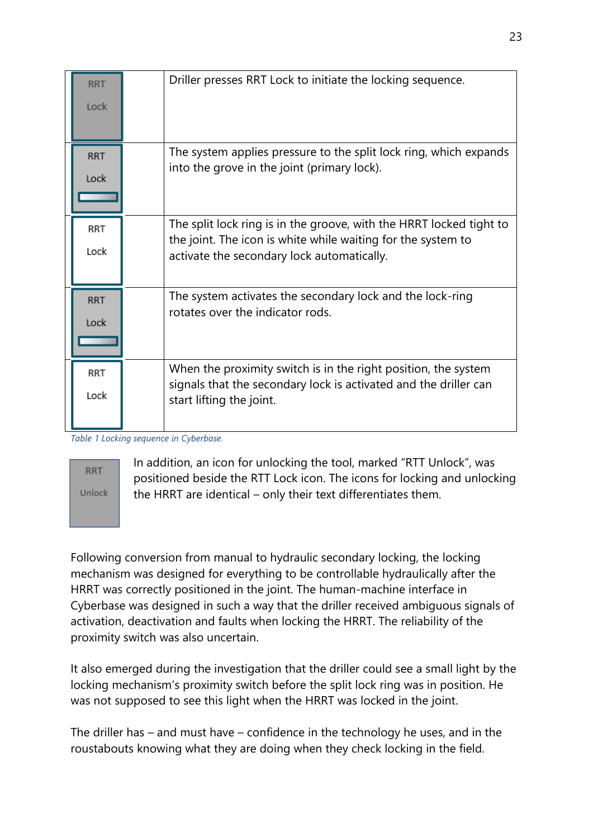| <b>RRT</b><br>Lock | Driller presses RRT Lock to initiate the locking sequence.                                                                                                                        |
|--------------------|-----------------------------------------------------------------------------------------------------------------------------------------------------------------------------------|
| <b>RRT</b><br>Lock | The system applies pressure to the split lock ring, which expands<br>into the grove in the joint (primary lock).                                                                  |
| <b>RRT</b><br>Lock | The split lock ring is in the groove, with the HRRT locked tight to<br>the joint. The icon is white while waiting for the system to<br>activate the secondary lock automatically. |
| <b>RRT</b><br>Lock | The system activates the secondary lock and the lock-ring<br>rotates over the indicator rods.                                                                                     |
| RRT<br>Lock        | When the proximity switch is in the right position, the system<br>signals that the secondary lock is activated and the driller can<br>start lifting the joint.                    |

*Table 1 Locking sequence in Cyberbase.*

## **RRT** Unlock

In addition, an icon for unlocking the tool, marked "RTT Unlock", was positioned beside the RTT Lock icon. The icons for locking and unlocking the HRRT are identical – only their text differentiates them.

Following conversion from manual to hydraulic secondary locking, the locking mechanism was designed for everything to be controllable hydraulically after the HRRT was correctly positioned in the joint. The human-machine interface in Cyberbase was designed in such a way that the driller received ambiguous signals of activation, deactivation and faults when locking the HRRT. The reliability of the proximity switch was also uncertain.

It also emerged during the investigation that the driller could see a small light by the locking mechanism's proximity switch before the split lock ring was in position. He was not supposed to see this light when the HRRT was locked in the joint.

The driller has – and must have – confidence in the technology he uses, and in the roustabouts knowing what they are doing when they check locking in the field.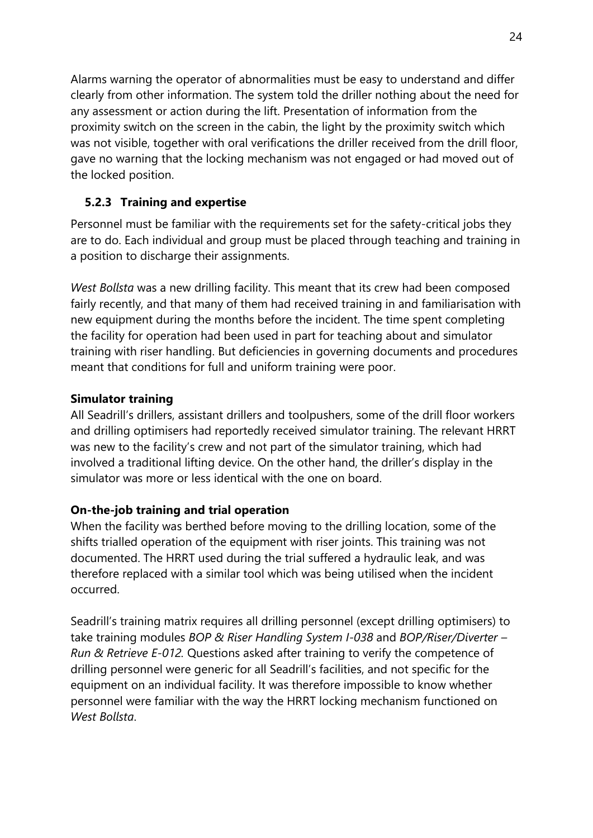Alarms warning the operator of abnormalities must be easy to understand and differ clearly from other information. The system told the driller nothing about the need for any assessment or action during the lift. Presentation of information from the proximity switch on the screen in the cabin, the light by the proximity switch which was not visible, together with oral verifications the driller received from the drill floor, gave no warning that the locking mechanism was not engaged or had moved out of the locked position.

## **5.2.3 Training and expertise**

Personnel must be familiar with the requirements set for the safety-critical jobs they are to do. Each individual and group must be placed through teaching and training in a position to discharge their assignments.

*West Bollsta* was a new drilling facility. This meant that its crew had been composed fairly recently, and that many of them had received training in and familiarisation with new equipment during the months before the incident. The time spent completing the facility for operation had been used in part for teaching about and simulator training with riser handling. But deficiencies in governing documents and procedures meant that conditions for full and uniform training were poor.

#### **Simulator training**

All Seadrill's drillers, assistant drillers and toolpushers, some of the drill floor workers and drilling optimisers had reportedly received simulator training. The relevant HRRT was new to the facility's crew and not part of the simulator training, which had involved a traditional lifting device. On the other hand, the driller's display in the simulator was more or less identical with the one on board.

#### **On-the-job training and trial operation**

When the facility was berthed before moving to the drilling location, some of the shifts trialled operation of the equipment with riser joints. This training was not documented. The HRRT used during the trial suffered a hydraulic leak, and was therefore replaced with a similar tool which was being utilised when the incident occurred.

Seadrill's training matrix requires all drilling personnel (except drilling optimisers) to take training modules *BOP & Riser Handling System I-038* and *BOP/Riser/Diverter – Run & Retrieve E-012.* Questions asked after training to verify the competence of drilling personnel were generic for all Seadrill's facilities, and not specific for the equipment on an individual facility. It was therefore impossible to know whether personnel were familiar with the way the HRRT locking mechanism functioned on *West Bollsta*.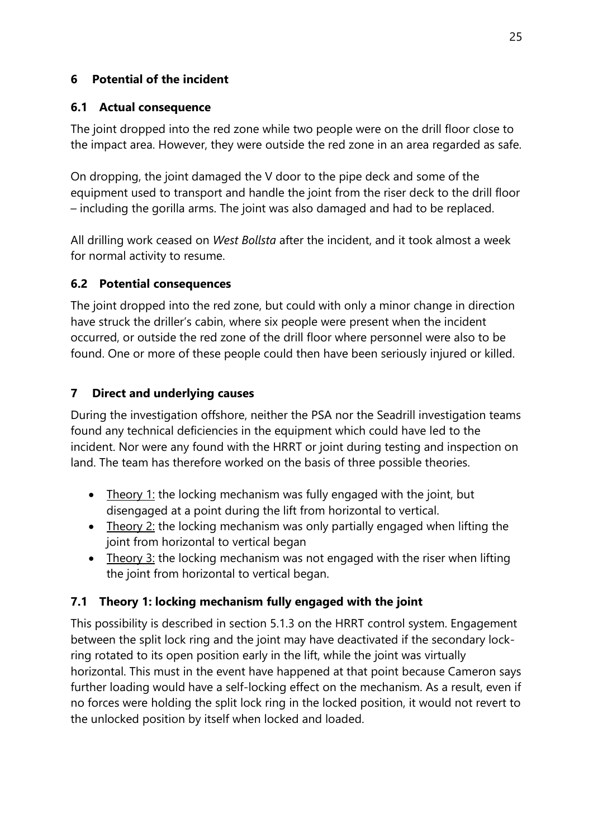## **6 Potential of the incident**

## **6.1 Actual consequence**

The joint dropped into the red zone while two people were on the drill floor close to the impact area. However, they were outside the red zone in an area regarded as safe.

On dropping, the joint damaged the V door to the pipe deck and some of the equipment used to transport and handle the joint from the riser deck to the drill floor – including the gorilla arms. The joint was also damaged and had to be replaced.

All drilling work ceased on *West Bollsta* after the incident, and it took almost a week for normal activity to resume.

## **6.2 Potential consequences**

The joint dropped into the red zone, but could with only a minor change in direction have struck the driller's cabin, where six people were present when the incident occurred, or outside the red zone of the drill floor where personnel were also to be found. One or more of these people could then have been seriously injured or killed.

# **7 Direct and underlying causes**

During the investigation offshore, neither the PSA nor the Seadrill investigation teams found any technical deficiencies in the equipment which could have led to the incident. Nor were any found with the HRRT or joint during testing and inspection on land. The team has therefore worked on the basis of three possible theories.

- Theory 1: the locking mechanism was fully engaged with the joint, but disengaged at a point during the lift from horizontal to vertical.
- Theory 2: the locking mechanism was only partially engaged when lifting the joint from horizontal to vertical began
- Theory  $3$ : the locking mechanism was not engaged with the riser when lifting the joint from horizontal to vertical began.

# **7.1 Theory 1: locking mechanism fully engaged with the joint**

This possibility is described in section 5.1.3 on the HRRT control system. Engagement between the split lock ring and the joint may have deactivated if the secondary lockring rotated to its open position early in the lift, while the joint was virtually horizontal. This must in the event have happened at that point because Cameron says further loading would have a self-locking effect on the mechanism. As a result, even if no forces were holding the split lock ring in the locked position, it would not revert to the unlocked position by itself when locked and loaded.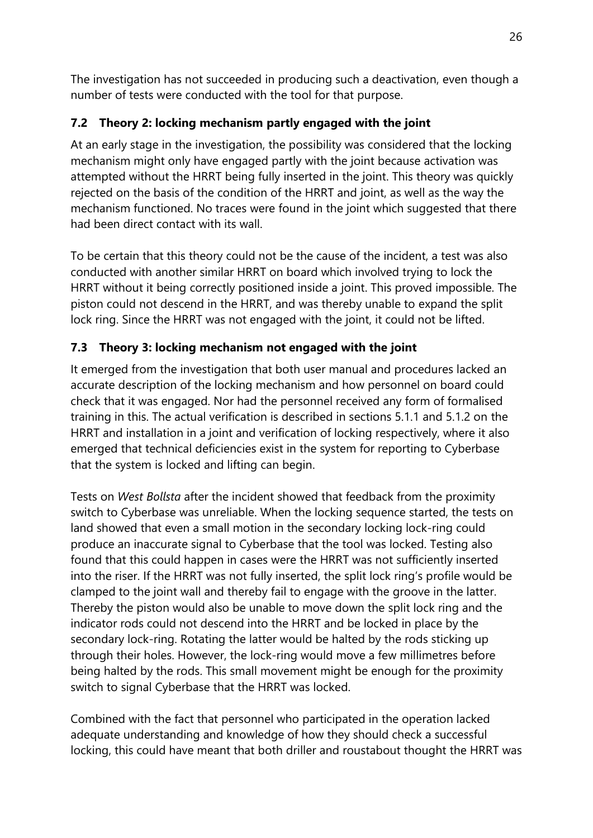The investigation has not succeeded in producing such a deactivation, even though a number of tests were conducted with the tool for that purpose.

# **7.2 Theory 2: locking mechanism partly engaged with the joint**

At an early stage in the investigation, the possibility was considered that the locking mechanism might only have engaged partly with the joint because activation was attempted without the HRRT being fully inserted in the joint. This theory was quickly rejected on the basis of the condition of the HRRT and joint, as well as the way the mechanism functioned. No traces were found in the joint which suggested that there had been direct contact with its wall.

To be certain that this theory could not be the cause of the incident, a test was also conducted with another similar HRRT on board which involved trying to lock the HRRT without it being correctly positioned inside a joint. This proved impossible. The piston could not descend in the HRRT, and was thereby unable to expand the split lock ring. Since the HRRT was not engaged with the joint, it could not be lifted.

## **7.3 Theory 3: locking mechanism not engaged with the joint**

It emerged from the investigation that both user manual and procedures lacked an accurate description of the locking mechanism and how personnel on board could check that it was engaged. Nor had the personnel received any form of formalised training in this. The actual verification is described in sections 5.1.1 and 5.1.2 on the HRRT and installation in a joint and verification of locking respectively, where it also emerged that technical deficiencies exist in the system for reporting to Cyberbase that the system is locked and lifting can begin.

Tests on *West Bollsta* after the incident showed that feedback from the proximity switch to Cyberbase was unreliable. When the locking sequence started, the tests on land showed that even a small motion in the secondary locking lock-ring could produce an inaccurate signal to Cyberbase that the tool was locked. Testing also found that this could happen in cases were the HRRT was not sufficiently inserted into the riser. If the HRRT was not fully inserted, the split lock ring's profile would be clamped to the joint wall and thereby fail to engage with the groove in the latter. Thereby the piston would also be unable to move down the split lock ring and the indicator rods could not descend into the HRRT and be locked in place by the secondary lock-ring. Rotating the latter would be halted by the rods sticking up through their holes. However, the lock-ring would move a few millimetres before being halted by the rods. This small movement might be enough for the proximity switch to signal Cyberbase that the HRRT was locked.

Combined with the fact that personnel who participated in the operation lacked adequate understanding and knowledge of how they should check a successful locking, this could have meant that both driller and roustabout thought the HRRT was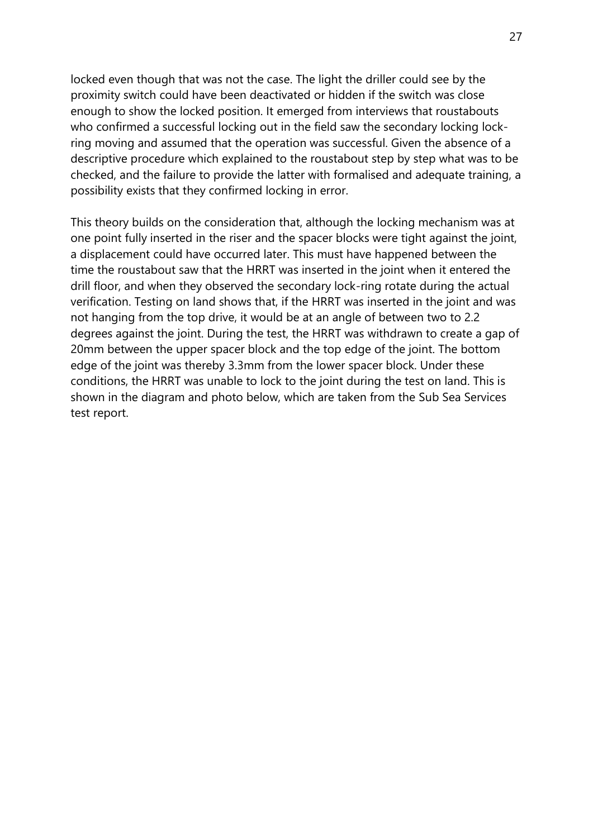locked even though that was not the case. The light the driller could see by the proximity switch could have been deactivated or hidden if the switch was close enough to show the locked position. It emerged from interviews that roustabouts who confirmed a successful locking out in the field saw the secondary locking lockring moving and assumed that the operation was successful. Given the absence of a descriptive procedure which explained to the roustabout step by step what was to be checked, and the failure to provide the latter with formalised and adequate training, a possibility exists that they confirmed locking in error.

This theory builds on the consideration that, although the locking mechanism was at one point fully inserted in the riser and the spacer blocks were tight against the joint, a displacement could have occurred later. This must have happened between the time the roustabout saw that the HRRT was inserted in the joint when it entered the drill floor, and when they observed the secondary lock-ring rotate during the actual verification. Testing on land shows that, if the HRRT was inserted in the joint and was not hanging from the top drive, it would be at an angle of between two to 2.2 degrees against the joint. During the test, the HRRT was withdrawn to create a gap of 20mm between the upper spacer block and the top edge of the joint. The bottom edge of the joint was thereby 3.3mm from the lower spacer block. Under these conditions, the HRRT was unable to lock to the joint during the test on land. This is shown in the diagram and photo below, which are taken from the Sub Sea Services test report.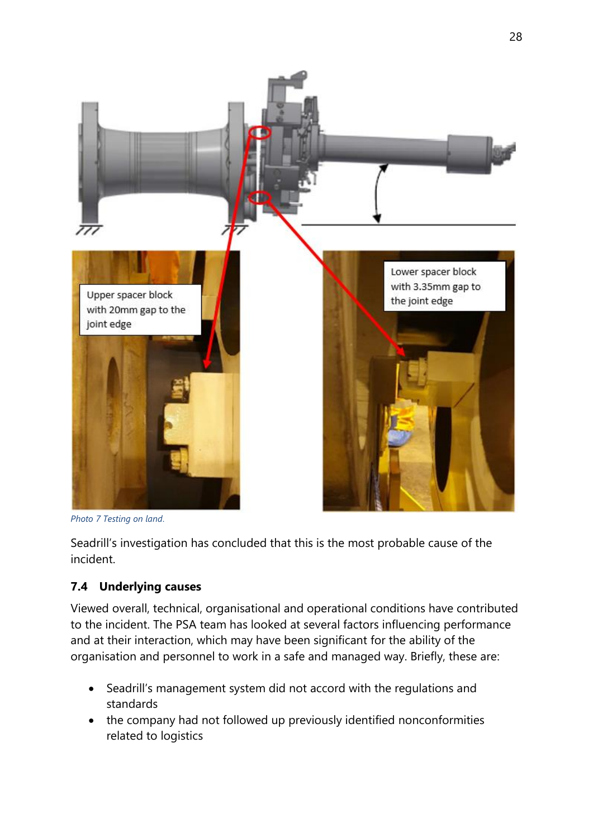

*Photo 7 Testing on land*.

Seadrill's investigation has concluded that this is the most probable cause of the incident.

## **7.4 Underlying causes**

Viewed overall, technical, organisational and operational conditions have contributed to the incident. The PSA team has looked at several factors influencing performance and at their interaction, which may have been significant for the ability of the organisation and personnel to work in a safe and managed way. Briefly, these are:

- Seadrill's management system did not accord with the regulations and standards
- the company had not followed up previously identified nonconformities related to logistics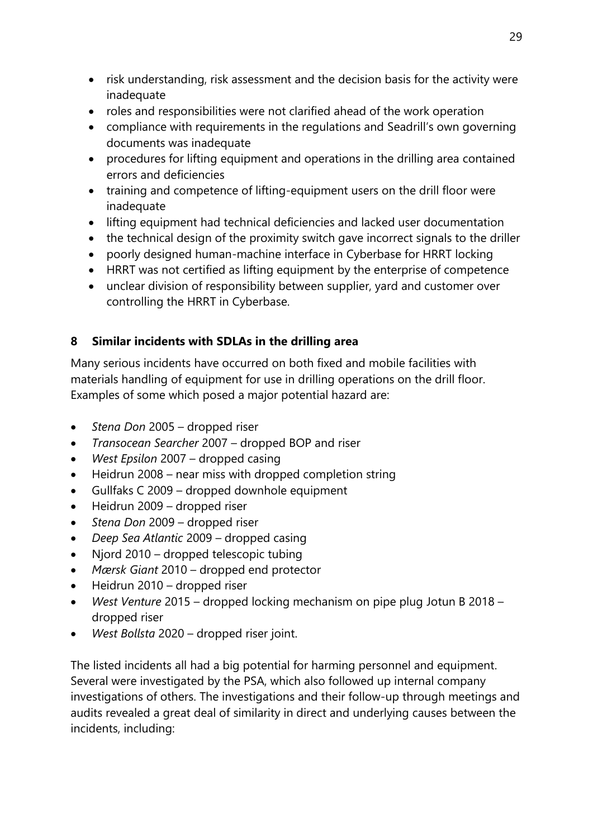- risk understanding, risk assessment and the decision basis for the activity were inadequate
- roles and responsibilities were not clarified ahead of the work operation
- compliance with requirements in the regulations and Seadrill's own governing documents was inadequate
- procedures for lifting equipment and operations in the drilling area contained errors and deficiencies
- training and competence of lifting-equipment users on the drill floor were inadequate
- lifting equipment had technical deficiencies and lacked user documentation
- the technical design of the proximity switch gave incorrect signals to the driller
- poorly designed human-machine interface in Cyberbase for HRRT locking
- HRRT was not certified as lifting equipment by the enterprise of competence
- unclear division of responsibility between supplier, yard and customer over controlling the HRRT in Cyberbase.

# **8 Similar incidents with SDLAs in the drilling area**

Many serious incidents have occurred on both fixed and mobile facilities with materials handling of equipment for use in drilling operations on the drill floor. Examples of some which posed a major potential hazard are:

- *Stena Don* 2005 dropped riser
- *Transocean Searcher* 2007 dropped BOP and riser
- *West Epsilon* 2007 dropped casing
- Heidrun 2008 near miss with dropped completion string
- Gullfaks C 2009 dropped downhole equipment
- Heidrun 2009 dropped riser
- *Stena Don* 2009 dropped riser
- *Deep Sea Atlantic* 2009 dropped casing
- Njord 2010 dropped telescopic tubing
- *Mærsk Giant* 2010 dropped end protector
- Heidrun 2010 dropped riser
- *West Venture* 2015 dropped locking mechanism on pipe plug Jotun B 2018 dropped riser
- *West Bollsta* 2020 dropped riser joint.

The listed incidents all had a big potential for harming personnel and equipment. Several were investigated by the PSA, which also followed up internal company investigations of others. The investigations and their follow-up through meetings and audits revealed a great deal of similarity in direct and underlying causes between the incidents, including: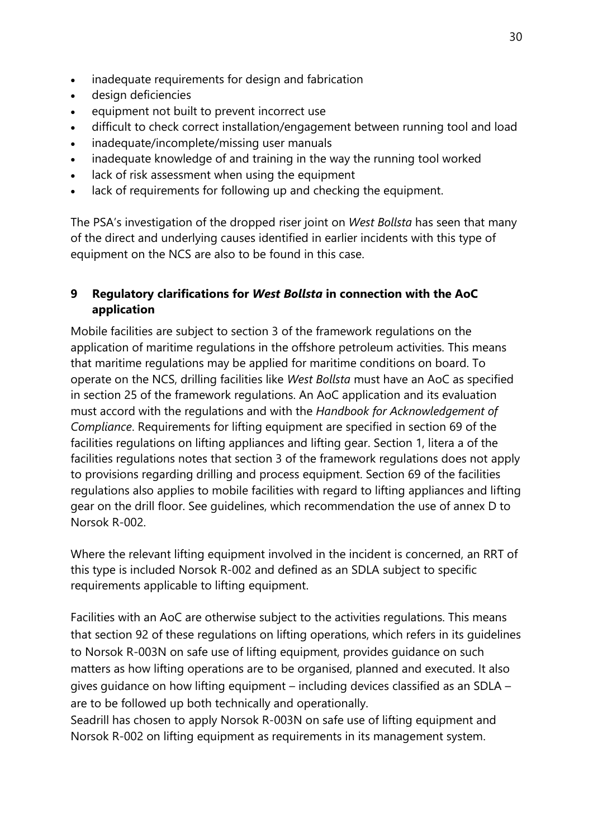- inadequate requirements for design and fabrication
- design deficiencies
- equipment not built to prevent incorrect use
- difficult to check correct installation/engagement between running tool and load
- inadequate/incomplete/missing user manuals
- inadequate knowledge of and training in the way the running tool worked
- lack of risk assessment when using the equipment
- lack of requirements for following up and checking the equipment.

The PSA's investigation of the dropped riser joint on *West Bollsta* has seen that many of the direct and underlying causes identified in earlier incidents with this type of equipment on the NCS are also to be found in this case.

## **9 Regulatory clarifications for** *West Bollsta* **in connection with the AoC application**

Mobile facilities are subject to section 3 of the framework regulations on the application of maritime regulations in the offshore petroleum activities. This means that maritime regulations may be applied for maritime conditions on board. To operate on the NCS, drilling facilities like *West Bollsta* must have an AoC as specified in section 25 of the framework regulations. An AoC application and its evaluation must accord with the regulations and with the *Handbook for Acknowledgement of Compliance*. Requirements for lifting equipment are specified in section 69 of the facilities regulations on lifting appliances and lifting gear. Section 1, litera a of the facilities regulations notes that section 3 of the framework regulations does not apply to provisions regarding drilling and process equipment. Section 69 of the facilities regulations also applies to mobile facilities with regard to lifting appliances and lifting gear on the drill floor. See guidelines, which recommendation the use of annex D to Norsok R-002.

Where the relevant lifting equipment involved in the incident is concerned, an RRT of this type is included Norsok R-002 and defined as an SDLA subject to specific requirements applicable to lifting equipment.

Facilities with an AoC are otherwise subject to the activities regulations. This means that section 92 of these regulations on lifting operations, which refers in its guidelines to Norsok R-003N on safe use of lifting equipment, provides guidance on such matters as how lifting operations are to be organised, planned and executed. It also gives guidance on how lifting equipment – including devices classified as an SDLA – are to be followed up both technically and operationally.

Seadrill has chosen to apply Norsok R-003N on safe use of lifting equipment and Norsok R-002 on lifting equipment as requirements in its management system.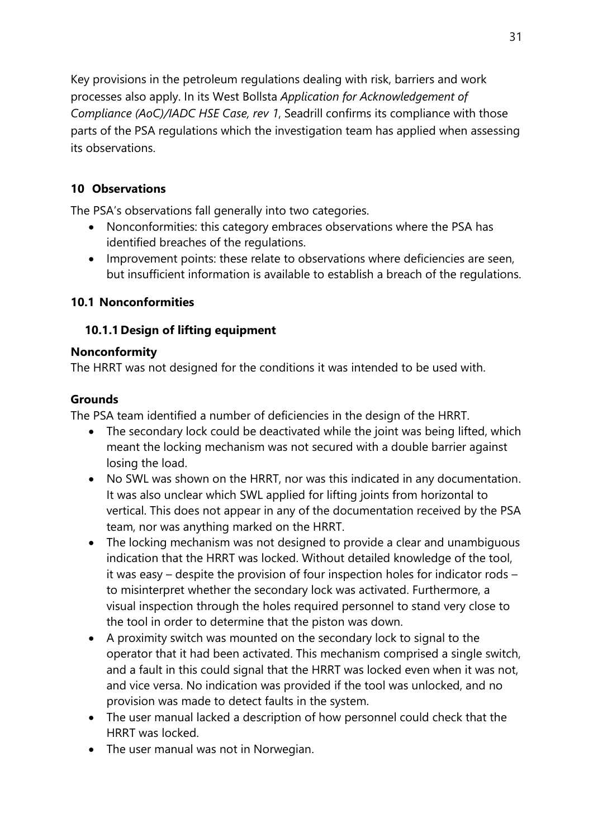Key provisions in the petroleum regulations dealing with risk, barriers and work processes also apply. In its West Bollsta *Application for Acknowledgement of Compliance (AoC)/IADC HSE Case, rev 1*, Seadrill confirms its compliance with those parts of the PSA regulations which the investigation team has applied when assessing its observations.

## **10 Observations**

The PSA's observations fall generally into two categories.

- Nonconformities: this category embraces observations where the PSA has identified breaches of the regulations.
- Improvement points: these relate to observations where deficiencies are seen, but insufficient information is available to establish a breach of the regulations.

## **10.1 Nonconformities**

## **10.1.1 Design of lifting equipment**

#### **Nonconformity**

The HRRT was not designed for the conditions it was intended to be used with.

## **Grounds**

The PSA team identified a number of deficiencies in the design of the HRRT.

- The secondary lock could be deactivated while the joint was being lifted, which meant the locking mechanism was not secured with a double barrier against losing the load.
- No SWL was shown on the HRRT, nor was this indicated in any documentation. It was also unclear which SWL applied for lifting joints from horizontal to vertical. This does not appear in any of the documentation received by the PSA team, nor was anything marked on the HRRT.
- The locking mechanism was not designed to provide a clear and unambiguous indication that the HRRT was locked. Without detailed knowledge of the tool, it was easy – despite the provision of four inspection holes for indicator rods – to misinterpret whether the secondary lock was activated. Furthermore, a visual inspection through the holes required personnel to stand very close to the tool in order to determine that the piston was down.
- A proximity switch was mounted on the secondary lock to signal to the operator that it had been activated. This mechanism comprised a single switch, and a fault in this could signal that the HRRT was locked even when it was not, and vice versa. No indication was provided if the tool was unlocked, and no provision was made to detect faults in the system.
- The user manual lacked a description of how personnel could check that the HRRT was locked.
- The user manual was not in Norwegian.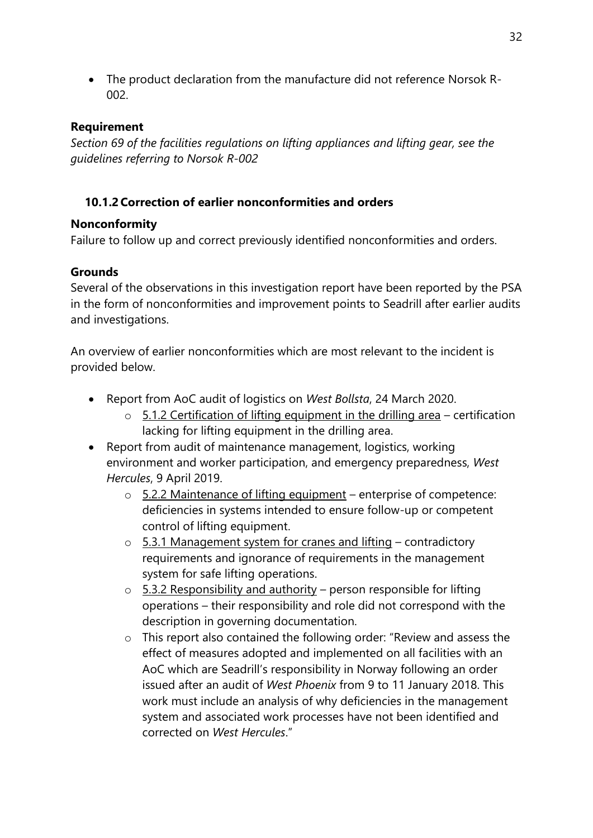• The product declaration from the manufacture did not reference Norsok R-002.

## **Requirement**

*Section 69 of the facilities regulations on lifting appliances and lifting gear, see the guidelines referring to Norsok R-002*

## **10.1.2 Correction of earlier nonconformities and orders**

## **Nonconformity**

Failure to follow up and correct previously identified nonconformities and orders.

## **Grounds**

Several of the observations in this investigation report have been reported by the PSA in the form of nonconformities and improvement points to Seadrill after earlier audits and investigations.

An overview of earlier nonconformities which are most relevant to the incident is provided below.

- Report from AoC audit of logistics on *West Bollsta*, 24 March 2020.
	- $\circ$  5.1.2 Certification of lifting equipment in the drilling area certification lacking for lifting equipment in the drilling area.
- Report from audit of maintenance management, logistics, working environment and worker participation, and emergency preparedness, *West Hercules*, 9 April 2019.
	- $\circ$  5.2.2 Maintenance of lifting equipment enterprise of competence: deficiencies in systems intended to ensure follow-up or competent control of lifting equipment.
	- $\circ$  5.3.1 Management system for cranes and lifting contradictory requirements and ignorance of requirements in the management system for safe lifting operations.
	- $\circ$  5.3.2 Responsibility and authority person responsible for lifting operations – their responsibility and role did not correspond with the description in governing documentation.
	- o This report also contained the following order: "Review and assess the effect of measures adopted and implemented on all facilities with an AoC which are Seadrill's responsibility in Norway following an order issued after an audit of *West Phoenix* from 9 to 11 January 2018. This work must include an analysis of why deficiencies in the management system and associated work processes have not been identified and corrected on *West Hercules*."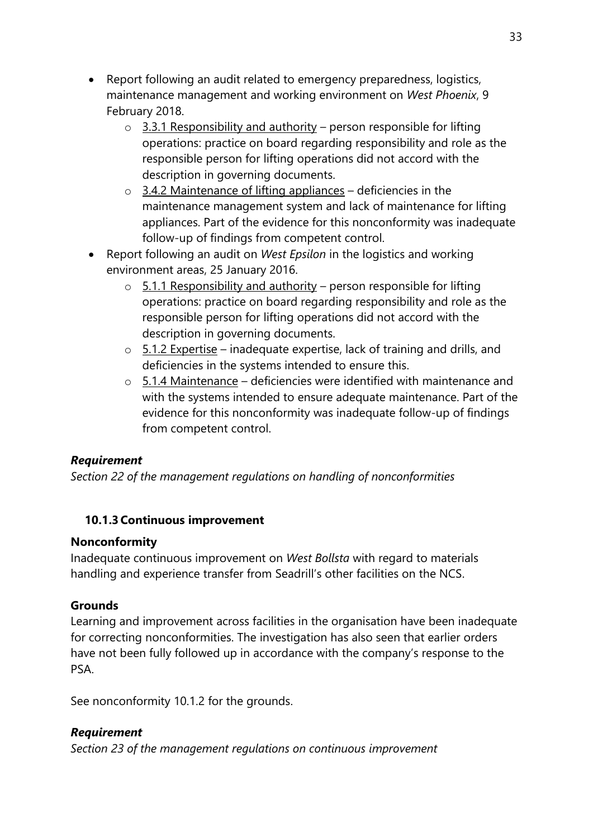- Report following an audit related to emergency preparedness, logistics, maintenance management and working environment on *West Phoenix*, 9 February 2018.
	- $\circ$  3.3.1 Responsibility and authority person responsible for lifting operations: practice on board regarding responsibility and role as the responsible person for lifting operations did not accord with the description in governing documents.
	- $\circ$  3.4.2 Maintenance of lifting appliances deficiencies in the maintenance management system and lack of maintenance for lifting appliances. Part of the evidence for this nonconformity was inadequate follow-up of findings from competent control.
- Report following an audit on *West Epsilon* in the logistics and working environment areas, 25 January 2016.
	- $\circ$  5.1.1 Responsibility and authority person responsible for lifting operations: practice on board regarding responsibility and role as the responsible person for lifting operations did not accord with the description in governing documents.
	- $\circ$  5.1.2 Expertise inadequate expertise, lack of training and drills, and deficiencies in the systems intended to ensure this.
	- $\circ$  5.1.4 Maintenance deficiencies were identified with maintenance and with the systems intended to ensure adequate maintenance. Part of the evidence for this nonconformity was inadequate follow-up of findings from competent control.

## *Requirement*

*Section 22 of the management regulations on handling of nonconformities*

## **10.1.3 Continuous improvement**

## **Nonconformity**

Inadequate continuous improvement on *West Bollsta* with regard to materials handling and experience transfer from Seadrill's other facilities on the NCS.

## **Grounds**

Learning and improvement across facilities in the organisation have been inadequate for correcting nonconformities. The investigation has also seen that earlier orders have not been fully followed up in accordance with the company's response to the PSA.

See nonconformity 10.1.2 for the grounds.

## *Requirement*

*Section 23 of the management regulations on continuous improvement*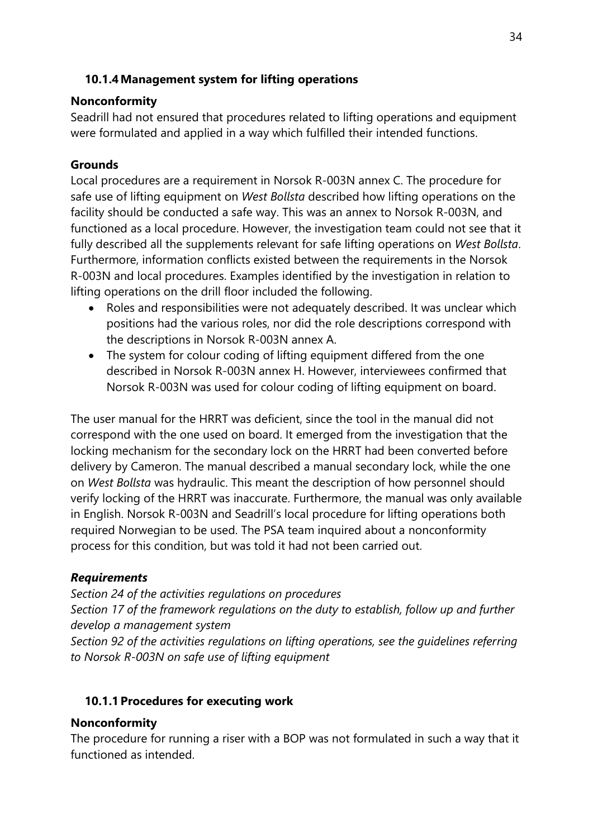## **10.1.4Management system for lifting operations**

## **Nonconformity**

Seadrill had not ensured that procedures related to lifting operations and equipment were formulated and applied in a way which fulfilled their intended functions.

## **Grounds**

Local procedures are a requirement in Norsok R-003N annex C. The procedure for safe use of lifting equipment on *West Bollsta* described how lifting operations on the facility should be conducted a safe way. This was an annex to Norsok R-003N, and functioned as a local procedure. However, the investigation team could not see that it fully described all the supplements relevant for safe lifting operations on *West Bollsta*. Furthermore, information conflicts existed between the requirements in the Norsok R-003N and local procedures. Examples identified by the investigation in relation to lifting operations on the drill floor included the following.

- Roles and responsibilities were not adequately described. It was unclear which positions had the various roles, nor did the role descriptions correspond with the descriptions in Norsok R-003N annex A.
- The system for colour coding of lifting equipment differed from the one described in Norsok R-003N annex H. However, interviewees confirmed that Norsok R-003N was used for colour coding of lifting equipment on board.

The user manual for the HRRT was deficient, since the tool in the manual did not correspond with the one used on board. It emerged from the investigation that the locking mechanism for the secondary lock on the HRRT had been converted before delivery by Cameron. The manual described a manual secondary lock, while the one on *West Bollsta* was hydraulic. This meant the description of how personnel should verify locking of the HRRT was inaccurate. Furthermore, the manual was only available in English. Norsok R-003N and Seadrill's local procedure for lifting operations both required Norwegian to be used. The PSA team inquired about a nonconformity process for this condition, but was told it had not been carried out.

## *Requirements*

*Section 24 of the activities regulations on procedures Section 17 of the framework regulations on the duty to establish, follow up and further develop a management system* 

*Section 92 of the activities regulations on lifting operations, see the guidelines referring to Norsok R-003N on safe use of lifting equipment*

## **10.1.1 Procedures for executing work**

## **Nonconformity**

The procedure for running a riser with a BOP was not formulated in such a way that it functioned as intended.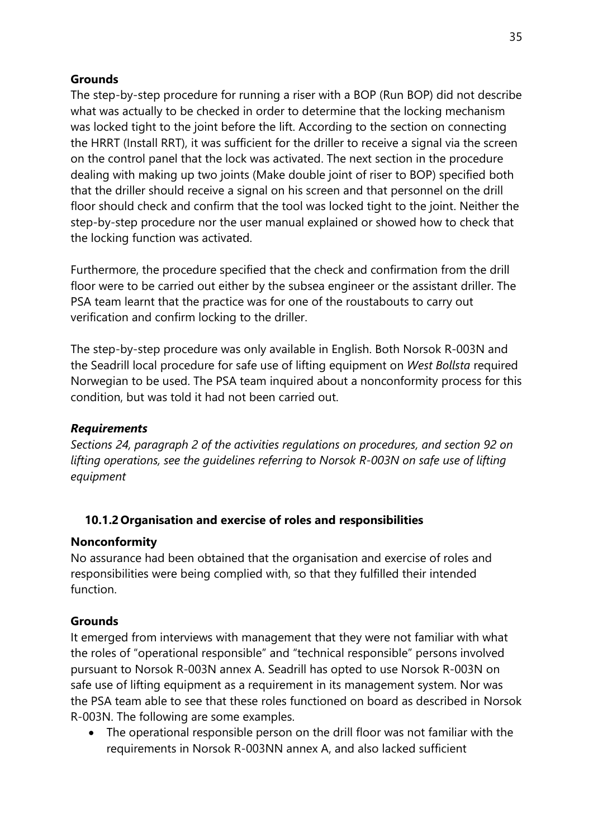## **Grounds**

The step-by-step procedure for running a riser with a BOP (Run BOP) did not describe what was actually to be checked in order to determine that the locking mechanism was locked tight to the joint before the lift. According to the section on connecting the HRRT (Install RRT), it was sufficient for the driller to receive a signal via the screen on the control panel that the lock was activated. The next section in the procedure dealing with making up two joints (Make double joint of riser to BOP) specified both that the driller should receive a signal on his screen and that personnel on the drill floor should check and confirm that the tool was locked tight to the joint. Neither the step-by-step procedure nor the user manual explained or showed how to check that the locking function was activated.

Furthermore, the procedure specified that the check and confirmation from the drill floor were to be carried out either by the subsea engineer or the assistant driller. The PSA team learnt that the practice was for one of the roustabouts to carry out verification and confirm locking to the driller.

The step-by-step procedure was only available in English. Both Norsok R-003N and the Seadrill local procedure for safe use of lifting equipment on *West Bollsta* required Norwegian to be used. The PSA team inquired about a nonconformity process for this condition, but was told it had not been carried out.

#### *Requirements*

*Sections 24, paragraph 2 of the activities regulations on procedures, and section 92 on lifting operations, see the guidelines referring to Norsok R-003N on safe use of lifting equipment*

## **10.1.2 Organisation and exercise of roles and responsibilities**

#### **Nonconformity**

No assurance had been obtained that the organisation and exercise of roles and responsibilities were being complied with, so that they fulfilled their intended function.

#### **Grounds**

It emerged from interviews with management that they were not familiar with what the roles of "operational responsible" and "technical responsible" persons involved pursuant to Norsok R-003N annex A. Seadrill has opted to use Norsok R-003N on safe use of lifting equipment as a requirement in its management system. Nor was the PSA team able to see that these roles functioned on board as described in Norsok R-003N. The following are some examples.

• The operational responsible person on the drill floor was not familiar with the requirements in Norsok R-003NN annex A, and also lacked sufficient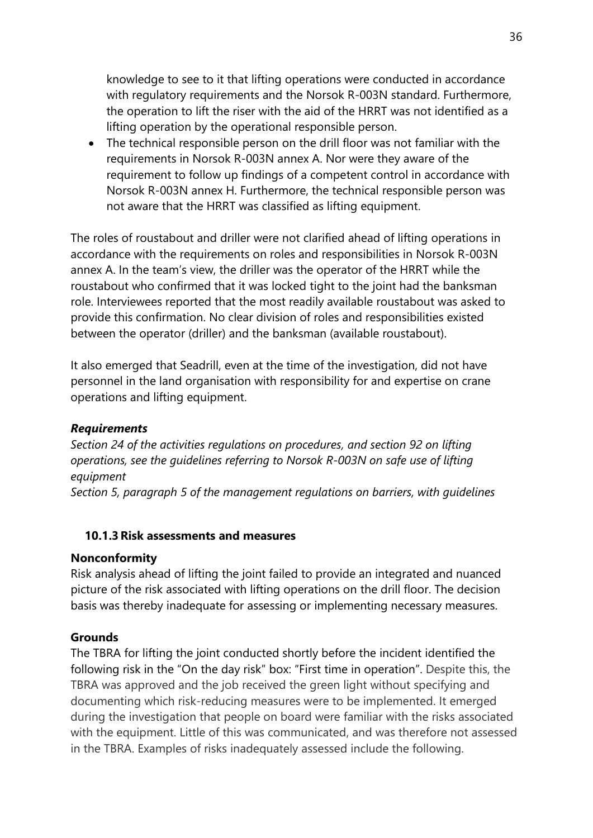knowledge to see to it that lifting operations were conducted in accordance with regulatory requirements and the Norsok R-003N standard. Furthermore, the operation to lift the riser with the aid of the HRRT was not identified as a lifting operation by the operational responsible person.

• The technical responsible person on the drill floor was not familiar with the requirements in Norsok R-003N annex A. Nor were they aware of the requirement to follow up findings of a competent control in accordance with Norsok R-003N annex H. Furthermore, the technical responsible person was not aware that the HRRT was classified as lifting equipment.

The roles of roustabout and driller were not clarified ahead of lifting operations in accordance with the requirements on roles and responsibilities in Norsok R-003N annex A. In the team's view, the driller was the operator of the HRRT while the roustabout who confirmed that it was locked tight to the joint had the banksman role. Interviewees reported that the most readily available roustabout was asked to provide this confirmation. No clear division of roles and responsibilities existed between the operator (driller) and the banksman (available roustabout).

It also emerged that Seadrill, even at the time of the investigation, did not have personnel in the land organisation with responsibility for and expertise on crane operations and lifting equipment.

#### *Requirements*

*Section 24 of the activities regulations on procedures, and section 92 on lifting operations, see the guidelines referring to Norsok R-003N on safe use of lifting equipment*

*Section 5, paragraph 5 of the management regulations on barriers, with guidelines*

#### **10.1.3Risk assessments and measures**

#### **Nonconformity**

Risk analysis ahead of lifting the joint failed to provide an integrated and nuanced picture of the risk associated with lifting operations on the drill floor. The decision basis was thereby inadequate for assessing or implementing necessary measures.

#### **Grounds**

The TBRA for lifting the joint conducted shortly before the incident identified the following risk in the "On the day risk" box: "First time in operation". Despite this, the TBRA was approved and the job received the green light without specifying and documenting which risk-reducing measures were to be implemented. It emerged during the investigation that people on board were familiar with the risks associated with the equipment. Little of this was communicated, and was therefore not assessed in the TBRA. Examples of risks inadequately assessed include the following.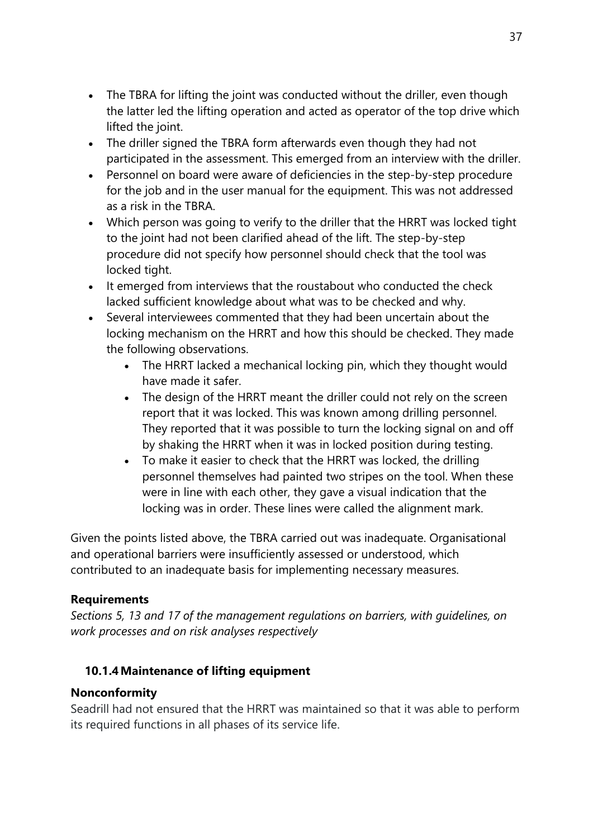- The TBRA for lifting the joint was conducted without the driller, even though the latter led the lifting operation and acted as operator of the top drive which lifted the joint.
- The driller signed the TBRA form afterwards even though they had not participated in the assessment. This emerged from an interview with the driller.
- Personnel on board were aware of deficiencies in the step-by-step procedure for the job and in the user manual for the equipment. This was not addressed as a risk in the TBRA.
- Which person was going to verify to the driller that the HRRT was locked tight to the joint had not been clarified ahead of the lift. The step-by-step procedure did not specify how personnel should check that the tool was locked tight.
- It emerged from interviews that the roustabout who conducted the check lacked sufficient knowledge about what was to be checked and why.
- Several interviewees commented that they had been uncertain about the locking mechanism on the HRRT and how this should be checked. They made the following observations.
	- The HRRT lacked a mechanical locking pin, which they thought would have made it safer.
	- The design of the HRRT meant the driller could not rely on the screen report that it was locked. This was known among drilling personnel. They reported that it was possible to turn the locking signal on and off by shaking the HRRT when it was in locked position during testing.
	- To make it easier to check that the HRRT was locked, the drilling personnel themselves had painted two stripes on the tool. When these were in line with each other, they gave a visual indication that the locking was in order. These lines were called the alignment mark.

Given the points listed above, the TBRA carried out was inadequate. Organisational and operational barriers were insufficiently assessed or understood, which contributed to an inadequate basis for implementing necessary measures.

## **Requirements**

*Sections 5, 13 and 17 of the management regulations on barriers, with guidelines, on work processes and on risk analyses respectively*

## **10.1.4Maintenance of lifting equipment**

## **Nonconformity**

Seadrill had not ensured that the HRRT was maintained so that it was able to perform its required functions in all phases of its service life.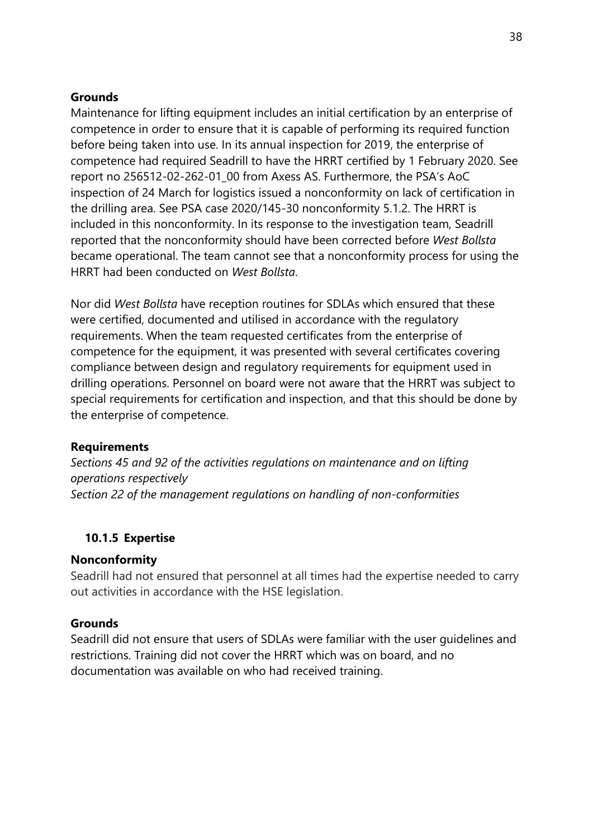#### **Grounds**

Maintenance for lifting equipment includes an initial certification by an enterprise of competence in order to ensure that it is capable of performing its required function before being taken into use. In its annual inspection for 2019, the enterprise of competence had required Seadrill to have the HRRT certified by 1 February 2020. See report no 256512-02-262-01\_00 from Axess AS. Furthermore, the PSA's AoC inspection of 24 March for logistics issued a nonconformity on lack of certification in the drilling area. See PSA case 2020/145-30 nonconformity 5.1.2. The HRRT is included in this nonconformity. In its response to the investigation team, Seadrill reported that the nonconformity should have been corrected before *West Bollsta* became operational. The team cannot see that a nonconformity process for using the HRRT had been conducted on *West Bollsta*.

Nor did *West Bollsta* have reception routines for SDLAs which ensured that these were certified, documented and utilised in accordance with the regulatory requirements. When the team requested certificates from the enterprise of competence for the equipment, it was presented with several certificates covering compliance between design and regulatory requirements for equipment used in drilling operations. Personnel on board were not aware that the HRRT was subject to special requirements for certification and inspection, and that this should be done by the enterprise of competence.

#### **Requirements**

*Sections 45 and 92 of the activities regulations on maintenance and on lifting operations respectively Section 22 of the management regulations on handling of non-conformities*

#### **10.1.5 Expertise**

#### **Nonconformity**

Seadrill had not ensured that personnel at all times had the expertise needed to carry out activities in accordance with the HSE legislation.

#### **Grounds**

Seadrill did not ensure that users of SDLAs were familiar with the user guidelines and restrictions. Training did not cover the HRRT which was on board, and no documentation was available on who had received training.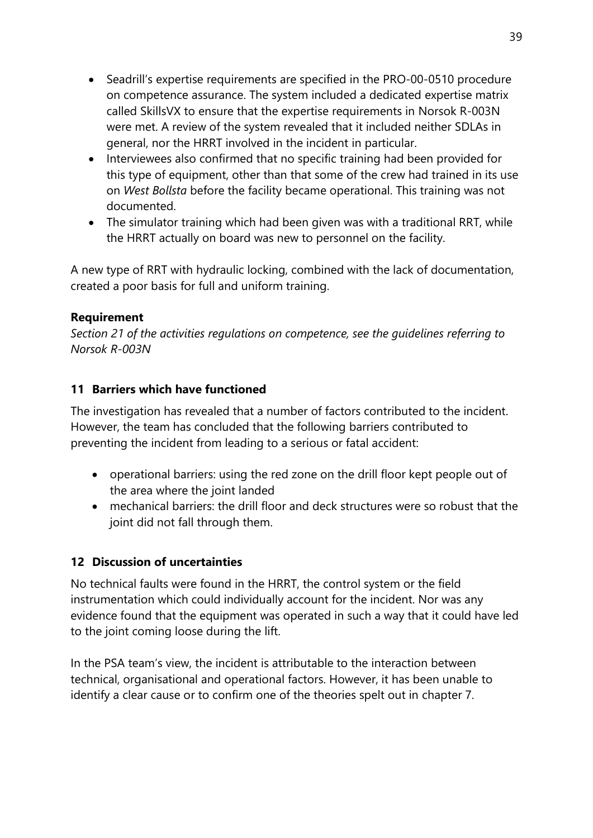- Seadrill's expertise requirements are specified in the PRO-00-0510 procedure on competence assurance. The system included a dedicated expertise matrix called SkillsVX to ensure that the expertise requirements in Norsok R-003N were met. A review of the system revealed that it included neither SDLAs in general, nor the HRRT involved in the incident in particular.
- Interviewees also confirmed that no specific training had been provided for this type of equipment, other than that some of the crew had trained in its use on *West Bollsta* before the facility became operational. This training was not documented.
- The simulator training which had been given was with a traditional RRT, while the HRRT actually on board was new to personnel on the facility.

A new type of RRT with hydraulic locking, combined with the lack of documentation, created a poor basis for full and uniform training.

#### **Requirement**

*Section 21 of the activities regulations on competence, see the guidelines referring to Norsok R-003N*

## **11 Barriers which have functioned**

The investigation has revealed that a number of factors contributed to the incident. However, the team has concluded that the following barriers contributed to preventing the incident from leading to a serious or fatal accident:

- operational barriers: using the red zone on the drill floor kept people out of the area where the joint landed
- mechanical barriers: the drill floor and deck structures were so robust that the joint did not fall through them.

## **12 Discussion of uncertainties**

No technical faults were found in the HRRT, the control system or the field instrumentation which could individually account for the incident. Nor was any evidence found that the equipment was operated in such a way that it could have led to the joint coming loose during the lift.

In the PSA team's view, the incident is attributable to the interaction between technical, organisational and operational factors. However, it has been unable to identify a clear cause or to confirm one of the theories spelt out in chapter 7.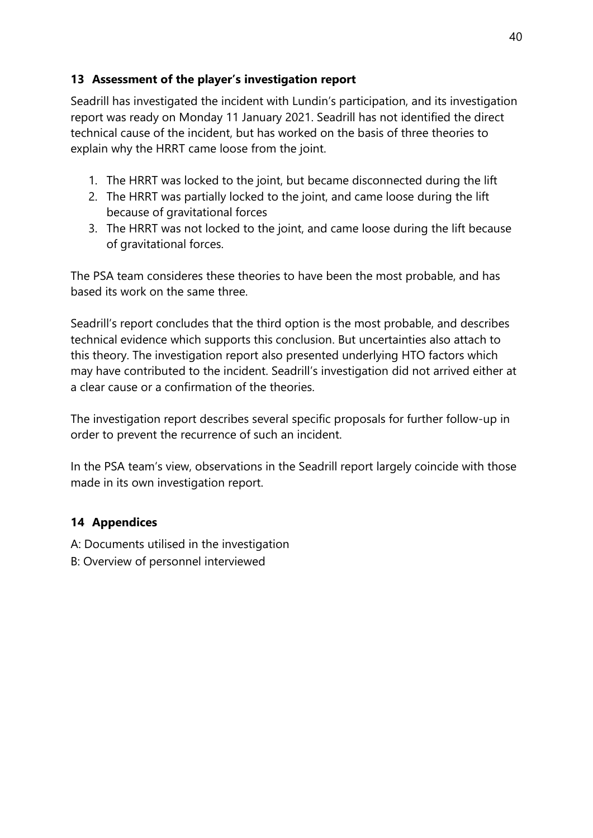## **13 Assessment of the player's investigation report**

Seadrill has investigated the incident with Lundin's participation, and its investigation report was ready on Monday 11 January 2021. Seadrill has not identified the direct technical cause of the incident, but has worked on the basis of three theories to explain why the HRRT came loose from the joint.

- 1. The HRRT was locked to the joint, but became disconnected during the lift
- 2. The HRRT was partially locked to the joint, and came loose during the lift because of gravitational forces
- 3. The HRRT was not locked to the joint, and came loose during the lift because of gravitational forces.

The PSA team consideres these theories to have been the most probable, and has based its work on the same three.

Seadrill's report concludes that the third option is the most probable, and describes technical evidence which supports this conclusion. But uncertainties also attach to this theory. The investigation report also presented underlying HTO factors which may have contributed to the incident. Seadrill's investigation did not arrived either at a clear cause or a confirmation of the theories.

The investigation report describes several specific proposals for further follow-up in order to prevent the recurrence of such an incident.

In the PSA team's view, observations in the Seadrill report largely coincide with those made in its own investigation report.

# **14 Appendices**

A: Documents utilised in the investigation

B: Overview of personnel interviewed